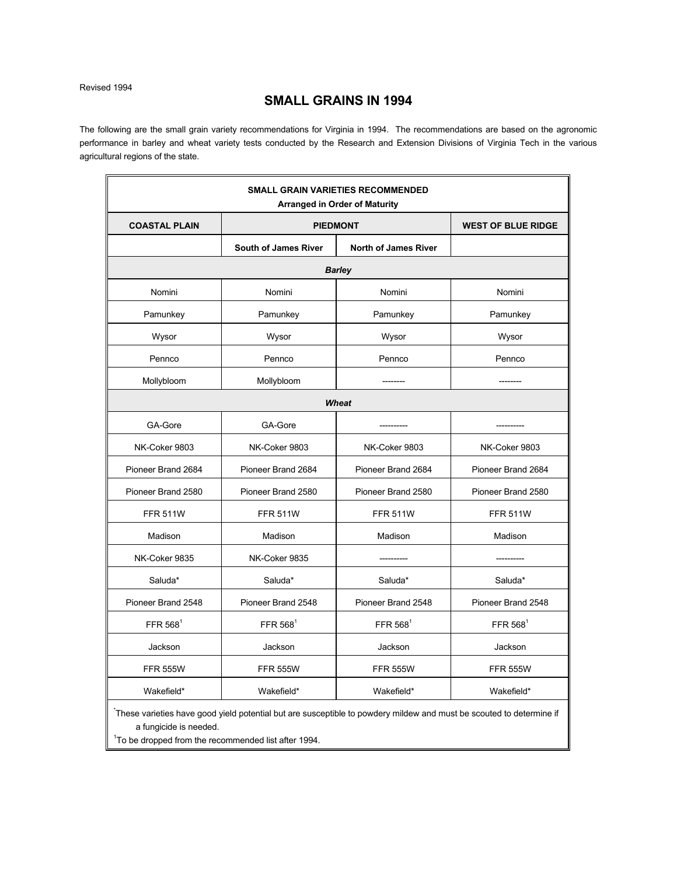### Revised 1994

## **SMALL GRAINS IN 1994**

The following are the small grain variety recommendations for Virginia in 1994. The recommendations are based on the agronomic performance in barley and wheat variety tests conducted by the Research and Extension Divisions of Virginia Tech in the various agricultural regions of the state.

|                      | <b>SMALL GRAIN VARIETIES RECOMMENDED</b><br><b>Arranged in Order of Maturity</b> |                             |                           |  |  |  |  |  |  |  |  |
|----------------------|----------------------------------------------------------------------------------|-----------------------------|---------------------------|--|--|--|--|--|--|--|--|
| <b>COASTAL PLAIN</b> |                                                                                  | <b>PIEDMONT</b>             | <b>WEST OF BLUE RIDGE</b> |  |  |  |  |  |  |  |  |
|                      | <b>South of James River</b>                                                      | <b>North of James River</b> |                           |  |  |  |  |  |  |  |  |
|                      |                                                                                  | <b>Barley</b>               |                           |  |  |  |  |  |  |  |  |
| Nomini               | Nomini                                                                           | Nomini                      | Nomini                    |  |  |  |  |  |  |  |  |
| Pamunkey             | Pamunkey                                                                         | Pamunkey                    | Pamunkey                  |  |  |  |  |  |  |  |  |
| Wysor                | Wysor                                                                            | Wysor                       | Wysor                     |  |  |  |  |  |  |  |  |
| Pennco               | Pennco                                                                           | Pennco                      | Pennco                    |  |  |  |  |  |  |  |  |
| Mollybloom           | Mollybloom                                                                       |                             |                           |  |  |  |  |  |  |  |  |
|                      |                                                                                  | <b>Wheat</b>                |                           |  |  |  |  |  |  |  |  |
| GA-Gore              | GA-Gore                                                                          |                             |                           |  |  |  |  |  |  |  |  |
| NK-Coker 9803        | NK-Coker 9803                                                                    | NK-Coker 9803               | NK-Coker 9803             |  |  |  |  |  |  |  |  |
| Pioneer Brand 2684   | Pioneer Brand 2684                                                               | Pioneer Brand 2684          | Pioneer Brand 2684        |  |  |  |  |  |  |  |  |
| Pioneer Brand 2580   | Pioneer Brand 2580                                                               | Pioneer Brand 2580          | Pioneer Brand 2580        |  |  |  |  |  |  |  |  |
| <b>FFR 511W</b>      | <b>FFR 511W</b>                                                                  | <b>FFR 511W</b>             | <b>FFR 511W</b>           |  |  |  |  |  |  |  |  |
| Madison              | Madison                                                                          | Madison                     | Madison                   |  |  |  |  |  |  |  |  |
| NK-Coker 9835        | NK-Coker 9835                                                                    |                             |                           |  |  |  |  |  |  |  |  |
| Saluda*              | Saluda*                                                                          | Saluda*                     | Saluda*                   |  |  |  |  |  |  |  |  |
| Pioneer Brand 2548   | Pioneer Brand 2548                                                               | Pioneer Brand 2548          | Pioneer Brand 2548        |  |  |  |  |  |  |  |  |
| $FFR 568^1$          | $FFR 568^1$                                                                      | $FFR 568$ <sup>1</sup>      | $FFR 568$ <sup>1</sup>    |  |  |  |  |  |  |  |  |
| Jackson              | Jackson                                                                          | Jackson                     | Jackson                   |  |  |  |  |  |  |  |  |
| <b>FFR 555W</b>      | <b>FFR 555W</b>                                                                  | <b>FFR 555W</b>             | <b>FFR 555W</b>           |  |  |  |  |  |  |  |  |
| Wakefield*           | Wakefield*                                                                       | Wakefield*                  | Wakefield*                |  |  |  |  |  |  |  |  |

\* These varieties have good yield potential but are susceptible to powdery mildew and must be scouted to determine if a fungicide is needed.

<sup>1</sup>To be dropped from the recommended list after 1994.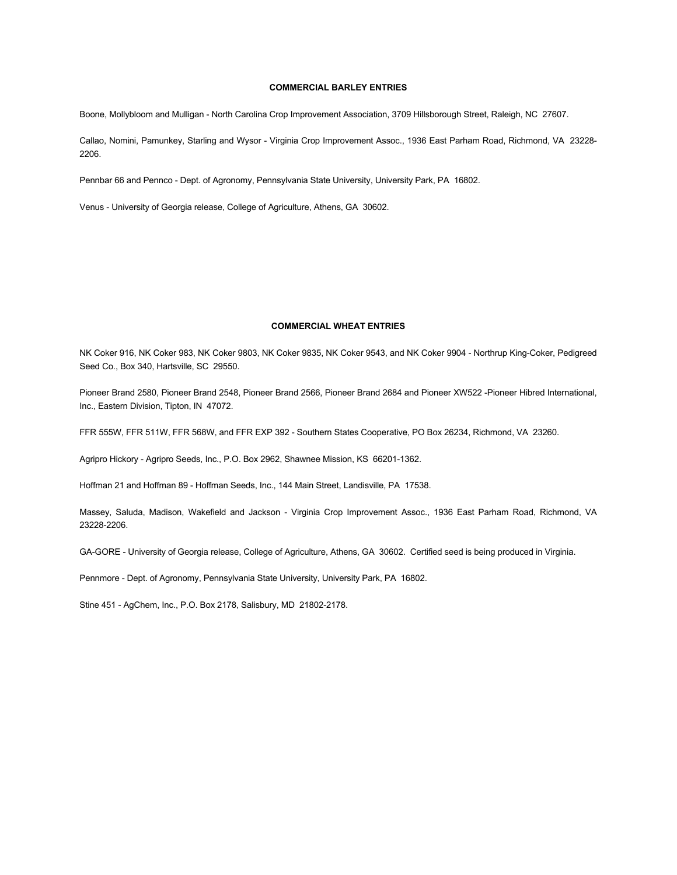### **COMMERCIAL BARLEY ENTRIES**

Boone, Mollybloom and Mulligan - North Carolina Crop Improvement Association, 3709 Hillsborough Street, Raleigh, NC 27607.

Callao, Nomini, Pamunkey, Starling and Wysor - Virginia Crop Improvement Assoc., 1936 East Parham Road, Richmond, VA 23228- 2206.

Pennbar 66 and Pennco - Dept. of Agronomy, Pennsylvania State University, University Park, PA 16802.

Venus - University of Georgia release, College of Agriculture, Athens, GA 30602.

### **COMMERCIAL WHEAT ENTRIES**

NK Coker 916, NK Coker 983, NK Coker 9803, NK Coker 9835, NK Coker 9543, and NK Coker 9904 - Northrup King-Coker, Pedigreed Seed Co., Box 340, Hartsville, SC 29550.

Pioneer Brand 2580, Pioneer Brand 2548, Pioneer Brand 2566, Pioneer Brand 2684 and Pioneer XW522 -Pioneer Hibred International, Inc., Eastern Division, Tipton, IN 47072.

FFR 555W, FFR 511W, FFR 568W, and FFR EXP 392 - Southern States Cooperative, PO Box 26234, Richmond, VA 23260.

Agripro Hickory - Agripro Seeds, Inc., P.O. Box 2962, Shawnee Mission, KS 66201-1362.

Hoffman 21 and Hoffman 89 - Hoffman Seeds, Inc., 144 Main Street, Landisville, PA 17538.

Massey, Saluda, Madison, Wakefield and Jackson - Virginia Crop Improvement Assoc., 1936 East Parham Road, Richmond, VA 23228-2206.

GA-GORE - University of Georgia release, College of Agriculture, Athens, GA 30602. Certified seed is being produced in Virginia.

Pennmore - Dept. of Agronomy, Pennsylvania State University, University Park, PA 16802.

Stine 451 - AgChem, Inc., P.O. Box 2178, Salisbury, MD 21802-2178.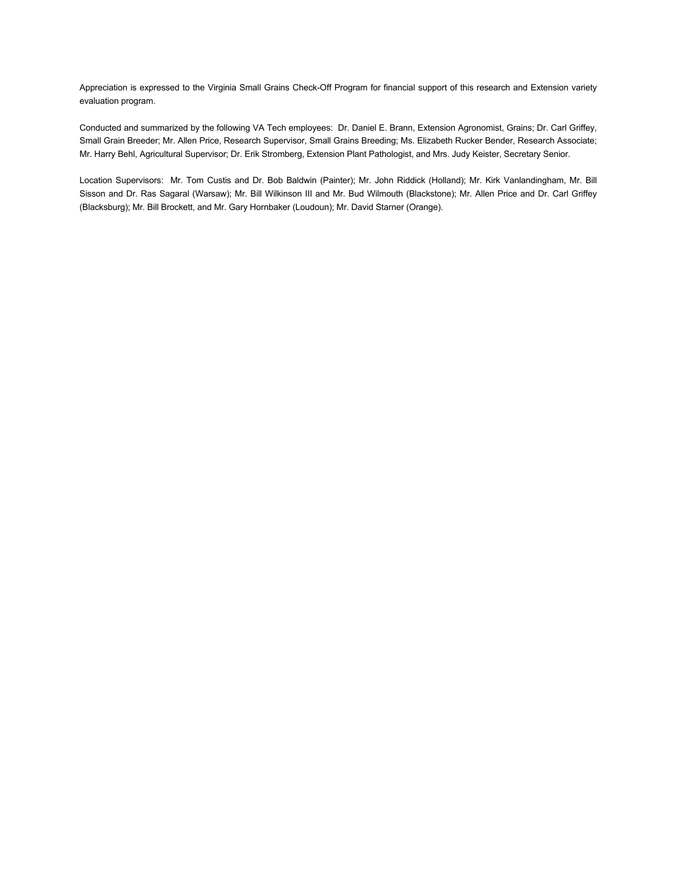Appreciation is expressed to the Virginia Small Grains Check-Off Program for financial support of this research and Extension variety evaluation program.

Conducted and summarized by the following VA Tech employees: Dr. Daniel E. Brann, Extension Agronomist, Grains; Dr. Carl Griffey, Small Grain Breeder; Mr. Allen Price, Research Supervisor, Small Grains Breeding; Ms. Elizabeth Rucker Bender, Research Associate; Mr. Harry Behl, Agricultural Supervisor; Dr. Erik Stromberg, Extension Plant Pathologist, and Mrs. Judy Keister, Secretary Senior.

Location Supervisors: Mr. Tom Custis and Dr. Bob Baldwin (Painter); Mr. John Riddick (Holland); Mr. Kirk Vanlandingham, Mr. Bill Sisson and Dr. Ras Sagaral (Warsaw); Mr. Bill Wilkinson III and Mr. Bud Wilmouth (Blackstone); Mr. Allen Price and Dr. Carl Griffey (Blacksburg); Mr. Bill Brockett, and Mr. Gary Hornbaker (Loudoun); Mr. David Starner (Orange).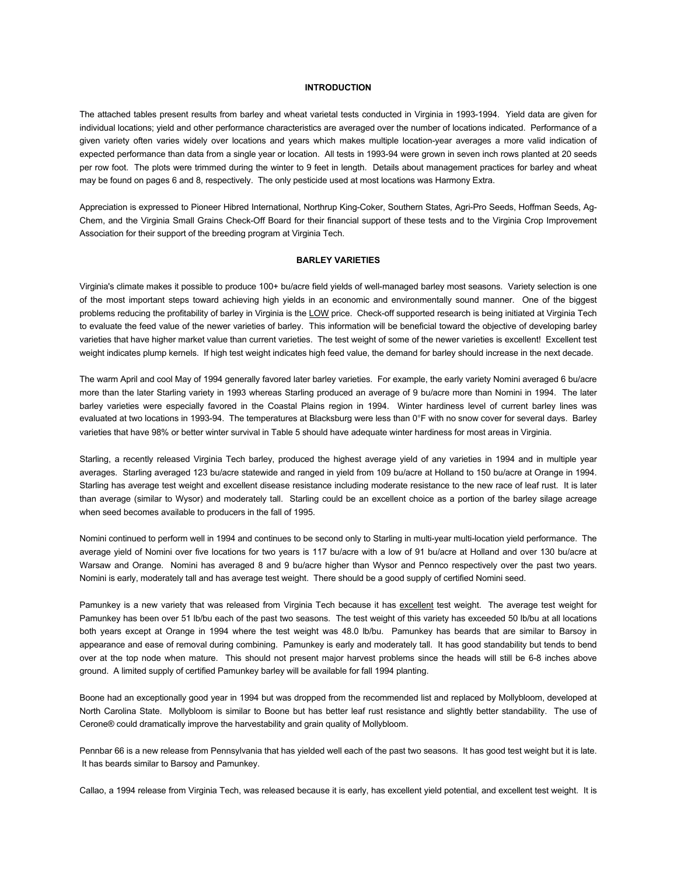### **INTRODUCTION**

The attached tables present results from barley and wheat varietal tests conducted in Virginia in 1993-1994. Yield data are given for individual locations; yield and other performance characteristics are averaged over the number of locations indicated. Performance of a given variety often varies widely over locations and years which makes multiple location-year averages a more valid indication of expected performance than data from a single year or location. All tests in 1993-94 were grown in seven inch rows planted at 20 seeds per row foot. The plots were trimmed during the winter to 9 feet in length. Details about management practices for barley and wheat may be found on pages 6 and 8, respectively. The only pesticide used at most locations was Harmony Extra.

Appreciation is expressed to Pioneer Hibred International, Northrup King-Coker, Southern States, Agri-Pro Seeds, Hoffman Seeds, Ag-Chem, and the Virginia Small Grains Check-Off Board for their financial support of these tests and to the Virginia Crop Improvement Association for their support of the breeding program at Virginia Tech.

### **BARLEY VARIETIES**

Virginia's climate makes it possible to produce 100+ bu/acre field yields of well-managed barley most seasons. Variety selection is one of the most important steps toward achieving high yields in an economic and environmentally sound manner. One of the biggest problems reducing the profitability of barley in Virginia is the LOW price. Check-off supported research is being initiated at Virginia Tech to evaluate the feed value of the newer varieties of barley. This information will be beneficial toward the objective of developing barley varieties that have higher market value than current varieties. The test weight of some of the newer varieties is excellent! Excellent test weight indicates plump kernels. If high test weight indicates high feed value, the demand for barley should increase in the next decade.

The warm April and cool May of 1994 generally favored later barley varieties. For example, the early variety Nomini averaged 6 bu/acre more than the later Starling variety in 1993 whereas Starling produced an average of 9 bu/acre more than Nomini in 1994. The later barley varieties were especially favored in the Coastal Plains region in 1994. Winter hardiness level of current barley lines was evaluated at two locations in 1993-94. The temperatures at Blacksburg were less than 0°F with no snow cover for several days. Barley varieties that have 98% or better winter survival in Table 5 should have adequate winter hardiness for most areas in Virginia.

Starling, a recently released Virginia Tech barley, produced the highest average yield of any varieties in 1994 and in multiple year averages. Starling averaged 123 bu/acre statewide and ranged in yield from 109 bu/acre at Holland to 150 bu/acre at Orange in 1994. Starling has average test weight and excellent disease resistance including moderate resistance to the new race of leaf rust. It is later than average (similar to Wysor) and moderately tall. Starling could be an excellent choice as a portion of the barley silage acreage when seed becomes available to producers in the fall of 1995.

Nomini continued to perform well in 1994 and continues to be second only to Starling in multi-year multi-location yield performance. The average yield of Nomini over five locations for two years is 117 bu/acre with a low of 91 bu/acre at Holland and over 130 bu/acre at Warsaw and Orange. Nomini has averaged 8 and 9 bu/acre higher than Wysor and Pennco respectively over the past two years. Nomini is early, moderately tall and has average test weight. There should be a good supply of certified Nomini seed.

Pamunkey is a new variety that was released from Virginia Tech because it has excellent test weight. The average test weight for Pamunkey has been over 51 lb/bu each of the past two seasons. The test weight of this variety has exceeded 50 lb/bu at all locations both years except at Orange in 1994 where the test weight was 48.0 lb/bu. Pamunkey has beards that are similar to Barsoy in appearance and ease of removal during combining. Pamunkey is early and moderately tall. It has good standability but tends to bend over at the top node when mature. This should not present major harvest problems since the heads will still be 6-8 inches above ground. A limited supply of certified Pamunkey barley will be available for fall 1994 planting.

Boone had an exceptionally good year in 1994 but was dropped from the recommended list and replaced by Mollybloom, developed at North Carolina State. Mollybloom is similar to Boone but has better leaf rust resistance and slightly better standability. The use of Cerone® could dramatically improve the harvestability and grain quality of Mollybloom.

Pennbar 66 is a new release from Pennsylvania that has yielded well each of the past two seasons. It has good test weight but it is late. It has beards similar to Barsoy and Pamunkey.

Callao, a 1994 release from Virginia Tech, was released because it is early, has excellent yield potential, and excellent test weight. It is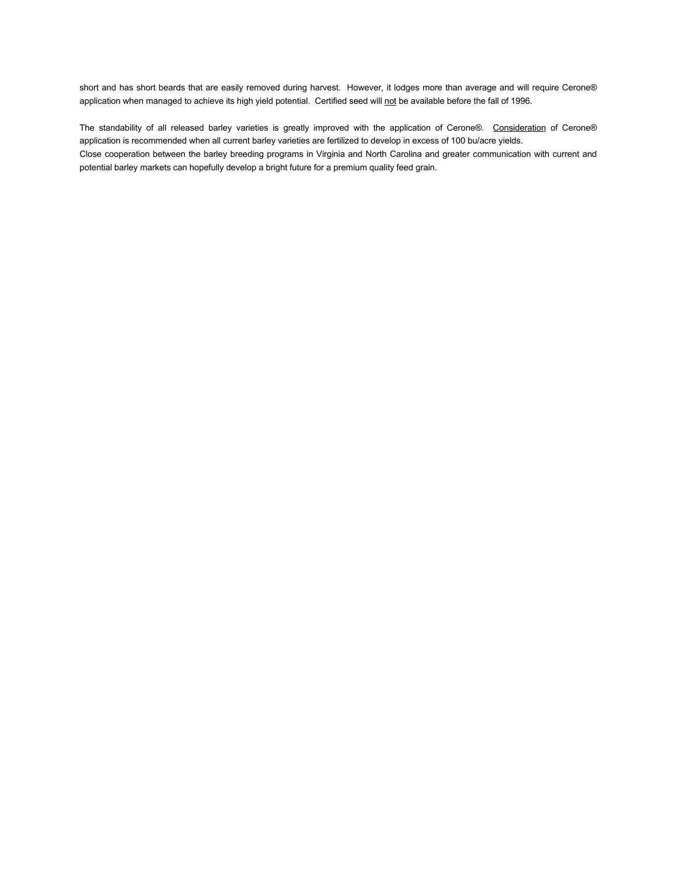short and has short beards that are easily removed during harvest. However, it lodges more than average and will require Cerone® application when managed to achieve its high yield potential. Certified seed will not be available before the fall of 1996.

The standability of all released barley varieties is greatly improved with the application of Cerone®. Consideration of Cerone® application is recommended when all current barley varieties are fertilized to develop in excess of 100 bu/acre yields. Close cooperation between the barley breeding programs in Virginia and North Carolina and greater communication with current and potential barley markets can hopefully develop a bright future for a premium quality feed grain.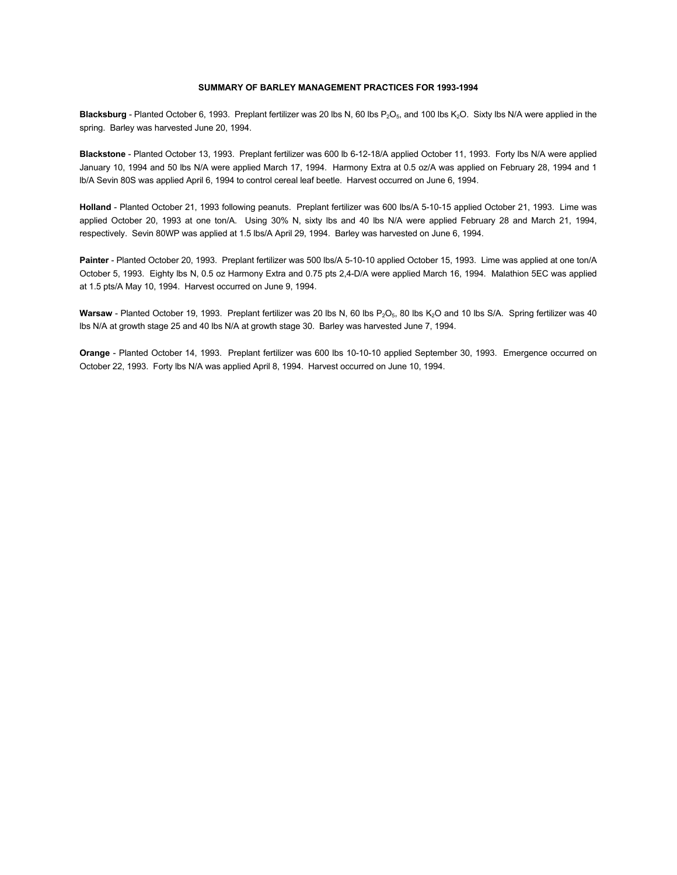### **SUMMARY OF BARLEY MANAGEMENT PRACTICES FOR 1993-1994**

**Blacksburg** - Planted October 6, 1993. Preplant fertilizer was 20 lbs N, 60 lbs P<sub>2</sub>O<sub>5</sub>, and 100 lbs K<sub>2</sub>O. Sixty lbs N/A were applied in the spring. Barley was harvested June 20, 1994.

**Blackstone** - Planted October 13, 1993. Preplant fertilizer was 600 lb 6-12-18/A applied October 11, 1993. Forty lbs N/A were applied January 10, 1994 and 50 lbs N/A were applied March 17, 1994. Harmony Extra at 0.5 oz/A was applied on February 28, 1994 and 1 lb/A Sevin 80S was applied April 6, 1994 to control cereal leaf beetle. Harvest occurred on June 6, 1994.

**Holland** - Planted October 21, 1993 following peanuts. Preplant fertilizer was 600 lbs/A 5-10-15 applied October 21, 1993. Lime was applied October 20, 1993 at one ton/A. Using 30% N, sixty lbs and 40 lbs N/A were applied February 28 and March 21, 1994, respectively. Sevin 80WP was applied at 1.5 lbs/A April 29, 1994. Barley was harvested on June 6, 1994.

**Painter** - Planted October 20, 1993. Preplant fertilizer was 500 lbs/A 5-10-10 applied October 15, 1993. Lime was applied at one ton/A October 5, 1993. Eighty lbs N, 0.5 oz Harmony Extra and 0.75 pts 2,4-D/A were applied March 16, 1994. Malathion 5EC was applied at 1.5 pts/A May 10, 1994. Harvest occurred on June 9, 1994.

Warsaw - Planted October 19, 1993. Preplant fertilizer was 20 lbs N, 60 lbs P<sub>2</sub>O<sub>5</sub>, 80 lbs K<sub>2</sub>O and 10 lbs S/A. Spring fertilizer was 40 lbs N/A at growth stage 25 and 40 lbs N/A at growth stage 30. Barley was harvested June 7, 1994.

**Orange** - Planted October 14, 1993. Preplant fertilizer was 600 lbs 10-10-10 applied September 30, 1993. Emergence occurred on October 22, 1993. Forty lbs N/A was applied April 8, 1994. Harvest occurred on June 10, 1994.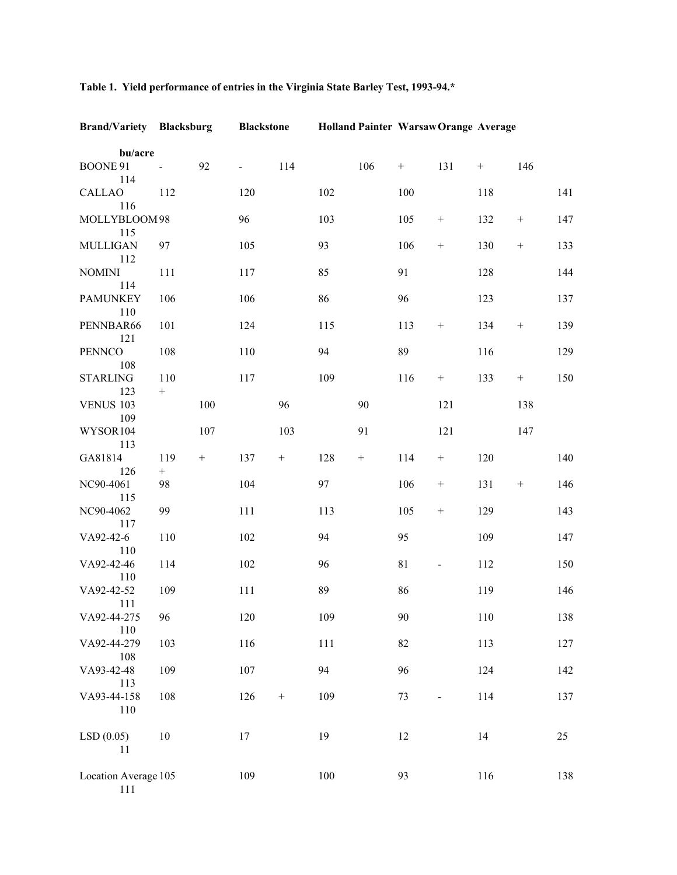| <b>Brand/Variety Blacksburg</b> |                         |     | <b>Blackstone</b> |                  |         |      |                   | Holland Painter Warsaw Orange Average |     |      |     |
|---------------------------------|-------------------------|-----|-------------------|------------------|---------|------|-------------------|---------------------------------------|-----|------|-----|
| bu/acre                         |                         |     |                   |                  |         |      |                   |                                       |     |      |     |
| <b>BOONE 91</b><br>114          |                         | 92  | $\blacksquare$    | 114              |         | 106  | $\qquad \qquad +$ | 131                                   | $+$ | 146  |     |
| <b>CALLAO</b><br>116            | 112                     |     | 120               |                  | 102     |      | 100               |                                       | 118 |      | 141 |
| MOLLYBLOOM 98                   |                         |     | 96                |                  | 103     |      | 105               | $^+$                                  | 132 | $^+$ | 147 |
| 115<br><b>MULLIGAN</b>          | 97                      |     | 105               |                  | 93      |      | 106               | $^+$                                  | 130 | $^+$ | 133 |
| 112<br><b>NOMINI</b>            | 111                     |     | 117               |                  | 85      |      | 91                |                                       | 128 |      | 144 |
| 114<br><b>PAMUNKEY</b>          | 106                     |     | 106               |                  | 86      |      | 96                |                                       | 123 |      | 137 |
| 110<br>PENNBAR66                | 101                     |     | 124               |                  | 115     |      | 113               | $^+$                                  | 134 | $^+$ | 139 |
| 121<br><b>PENNCO</b>            | 108                     |     | 110               |                  | 94      |      | 89                |                                       | 116 |      | 129 |
| 108<br><b>STARLING</b>          | 110                     |     | 117               |                  | 109     |      | 116               | $^+$                                  | 133 | $^+$ | 150 |
| 123<br><b>VENUS 103</b>         | $\boldsymbol{+}$        | 100 |                   | 96               |         | 90   |                   | 121                                   |     | 138  |     |
| 109<br>WYSOR104<br>113          |                         | 107 |                   | 103              |         | 91   |                   | 121                                   |     | 147  |     |
| GA81814                         | 119                     |     | 137               | $^+$             | 128     | $^+$ | 114               | $^+$                                  | 120 |      | 140 |
| 126<br>NC90-4061                | $\qquad \qquad +$<br>98 |     | 104               |                  | 97      |      | 106               | $^+$                                  | 131 | $^+$ | 146 |
| 115<br>NC90-4062                | 99                      |     | 111               |                  | 113     |      | 105               | $^+$                                  | 129 |      | 143 |
| 117<br>VA92-42-6                | 110                     |     | 102               |                  | 94      |      | 95                |                                       | 109 |      | 147 |
| 110<br>VA92-42-46               | 114                     |     | 102               |                  | 96      |      | 81                | $\blacksquare$                        | 112 |      | 150 |
| 110<br>VA92-42-52               | 109                     |     | 111               |                  | 89      |      | 86                |                                       | 119 |      | 146 |
| 111<br>VA92-44-275              | 96                      |     | 120               |                  | 109     |      | 90                |                                       | 110 |      | 138 |
| 110<br>VA92-44-279              | 103                     |     | 116               |                  | 111     |      | 82                |                                       | 113 |      | 127 |
| 108<br>VA93-42-48               | 109                     |     | 107               |                  | 94      |      | 96                |                                       | 124 |      | 142 |
| 113<br>VA93-44-158<br>110       | 108                     |     | 126               | $\boldsymbol{+}$ | 109     |      | 73                | $\blacksquare$                        | 114 |      | 137 |
| LSD(0.05)<br>11                 | 10                      |     | 17                |                  | 19      |      | 12                |                                       | 14  |      | 25  |
| Location Average 105<br>111     |                         |     | 109               |                  | $100\,$ |      | 93                |                                       | 116 |      | 138 |

# **Table 1. Yield performance of entries in the Virginia State Barley Test, 1993-94.\***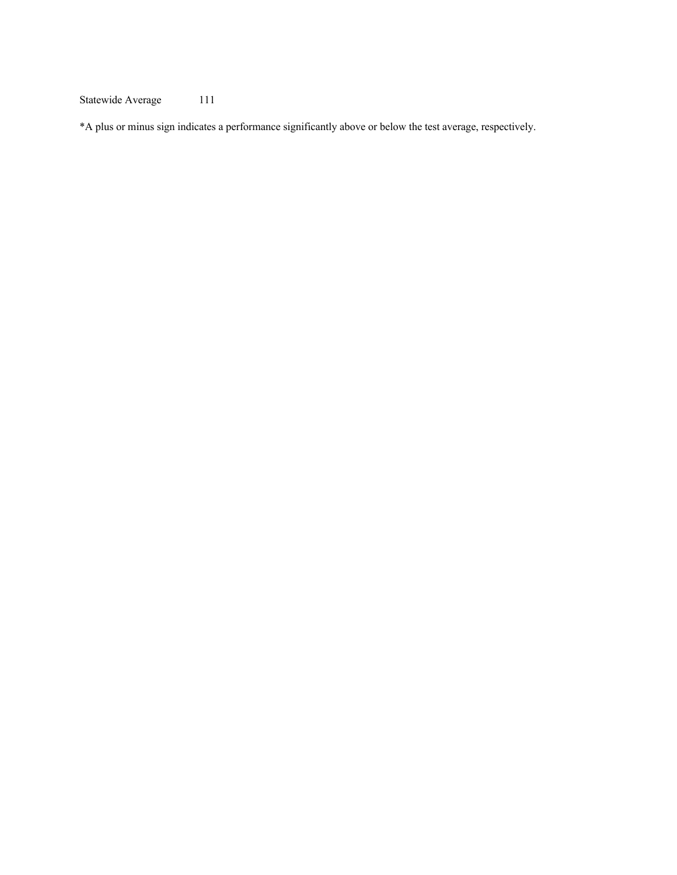Statewide Average 111

\*A plus or minus sign indicates a performance significantly above or below the test average, respectively.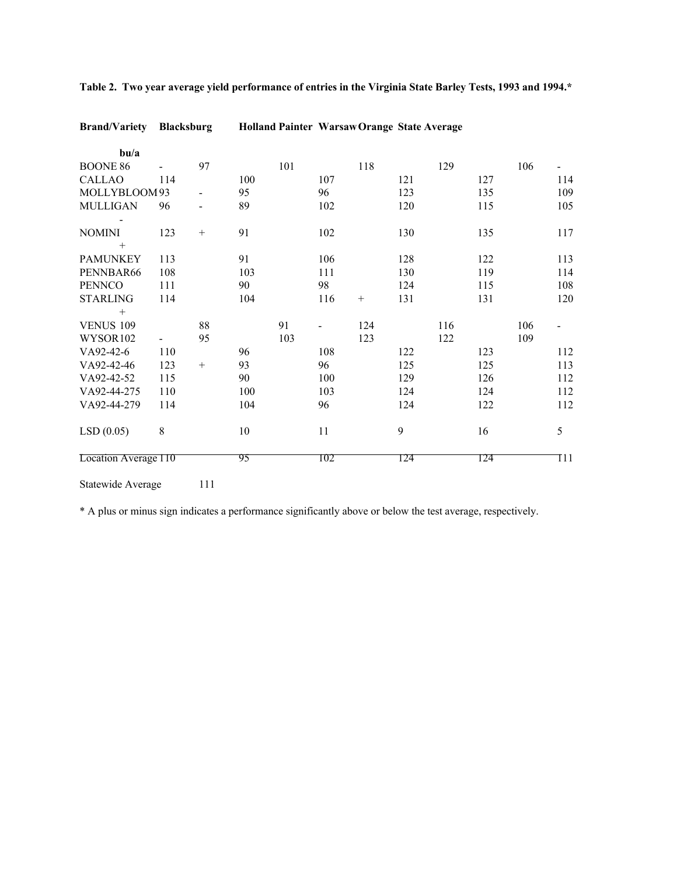Table 2. Two year average yield performance of entries in the Virginia State Barley Tests, 1993 and 1994.\*

| b <sub>u/a</sub>            |                |                |     |     |                |        |     |     |     |     |                              |
|-----------------------------|----------------|----------------|-----|-----|----------------|--------|-----|-----|-----|-----|------------------------------|
| <b>BOONE 86</b>             |                | 97             |     | 101 |                | 118    |     | 129 |     | 106 |                              |
| <b>CALLAO</b>               | 114            |                | 100 |     | 107            |        | 121 |     | 127 |     | 114                          |
| MOLLYBLOOM 93               |                | $\blacksquare$ | 95  |     | 96             |        | 123 |     | 135 |     | 109                          |
| <b>MULLIGAN</b>             | 96             |                | 89  |     | 102            |        | 120 |     | 115 |     | 105                          |
| <b>NOMINI</b><br>$+$        | 123            | $^{+}$         | 91  |     | 102            |        | 130 |     | 135 |     | 117                          |
| <b>PAMUNKEY</b>             | 113            |                | 91  |     | 106            |        | 128 |     | 122 |     | 113                          |
| PENNBAR66                   | 108            |                | 103 |     | 111            |        | 130 |     | 119 |     | 114                          |
| <b>PENNCO</b>               | 111            |                | 90  |     | 98             |        | 124 |     | 115 |     | 108                          |
| <b>STARLING</b>             | 114            |                | 104 |     | 116            | $^{+}$ | 131 |     | 131 |     | 120                          |
| $+$<br><b>VENUS 109</b>     |                | 88             |     | 91  | $\blacksquare$ | 124    |     | 116 |     | 106 | $\qquad \qquad \blacksquare$ |
| WYSOR102                    | $\blacksquare$ | 95             |     | 103 |                | 123    |     | 122 |     | 109 |                              |
| VA92-42-6                   | 110            |                | 96  |     | 108            |        | 122 |     | 123 |     | 112                          |
| VA92-42-46                  | 123            | $^{+}$         | 93  |     | 96             |        | 125 |     | 125 |     | 113                          |
| VA92-42-52                  | 115            |                | 90  |     | 100            |        | 129 |     | 126 |     | 112                          |
| VA92-44-275                 | 110            |                | 100 |     | 103            |        | 124 |     | 124 |     | 112                          |
| VA92-44-279                 | 114            |                | 104 |     | 96             |        | 124 |     | 122 |     | 112                          |
| LSD(0.05)                   | 8              |                | 10  |     | 11             |        | 9   |     | 16  |     | 5                            |
| <b>Location Average 110</b> |                |                | 95  |     | 102            |        | 124 |     | 124 |     | T11                          |
|                             |                |                |     |     |                |        |     |     |     |     |                              |

**Brand/Variety Blacksburg Holland Painter WarsawOrange State Average**

Statewide Average 111

\* A plus or minus sign indicates a performance significantly above or below the test average, respectively.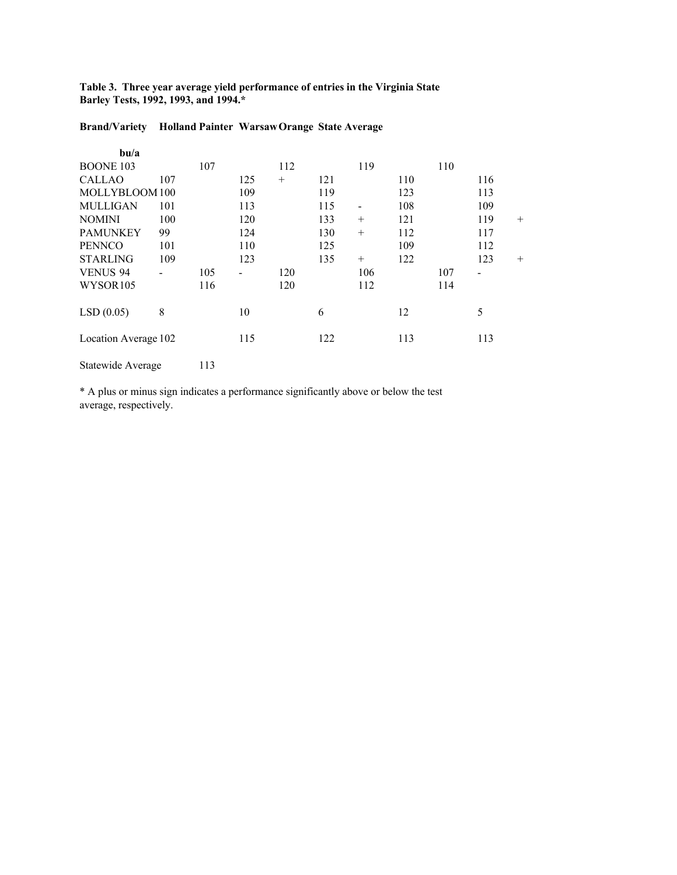**Table 3. Three year average yield performance of entries in the Virginia State Barley Tests, 1992, 1993, and 1994.\***

| b <sub>u/a</sub>     |     |     |                |        |     |        |     |     |                          |        |
|----------------------|-----|-----|----------------|--------|-----|--------|-----|-----|--------------------------|--------|
| <b>BOONE 103</b>     |     | 107 |                | 112    |     | 119    |     | 110 |                          |        |
| <b>CALLAO</b>        | 107 |     | 125            | $^{+}$ | 121 |        | 110 |     | 116                      |        |
| MOLLYBLOOM 100       |     |     | 109            |        | 119 |        | 123 |     | 113                      |        |
| <b>MULLIGAN</b>      | 101 |     | 113            |        | 115 | -      | 108 |     | 109                      |        |
| <b>NOMINI</b>        | 100 |     | 120            |        | 133 | $^{+}$ | 121 |     | 119                      | $^{+}$ |
| <b>PAMUNKEY</b>      | 99  |     | 124            |        | 130 | $+$    | 112 |     | 117                      |        |
| <b>PENNCO</b>        | 101 |     | 110            |        | 125 |        | 109 |     | 112                      |        |
| <b>STARLING</b>      | 109 |     | 123            |        | 135 | $^{+}$ | 122 |     | 123                      | $^{+}$ |
| <b>VENUS 94</b>      |     | 105 | $\blacksquare$ | 120    |     | 106    |     | 107 | $\overline{\phantom{a}}$ |        |
| WYSOR105             |     | 116 |                | 120    |     | 112    |     | 114 |                          |        |
| LSD(0.05)            | 8   |     | 10             |        | 6   |        | 12  |     | 5                        |        |
| Location Average 102 |     |     | 115            |        | 122 |        | 113 |     | 113                      |        |
| Statewide Average    |     | 113 |                |        |     |        |     |     |                          |        |

## **Brand/Variety Holland Painter WarsawOrange State Average**

\* A plus or minus sign indicates a performance significantly above or below the test average, respectively.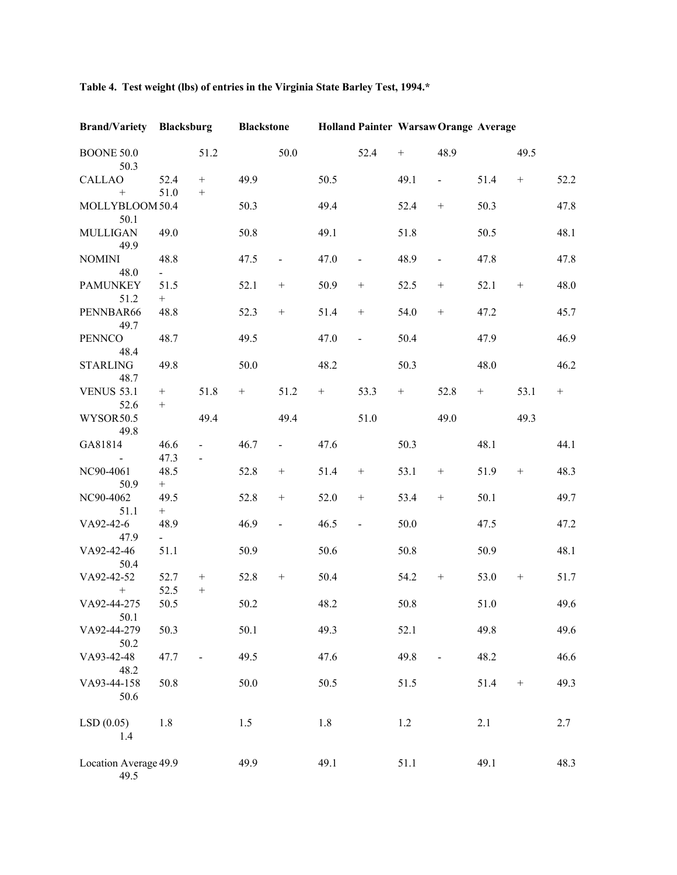|  | Table 4. Test weight (lbs) of entries in the Virginia State Barley Test, 1994.* |  |  |
|--|---------------------------------------------------------------------------------|--|--|
|  |                                                                                 |  |  |

| <b>Brand/Variety Blacksburg</b> |                             |                            | <b>Blackstone</b> |                          |      |                |        | Holland Painter Warsaw Orange Average |      |      |      |
|---------------------------------|-----------------------------|----------------------------|-------------------|--------------------------|------|----------------|--------|---------------------------------------|------|------|------|
| <b>BOONE 50.0</b><br>50.3       |                             | 51.2                       |                   | 50.0                     |      | 52.4           | $^{+}$ | 48.9                                  |      | 49.5 |      |
| CALLAO<br>$^{+}$                | 52.4<br>51.0                | $^{+}$<br>$\boldsymbol{+}$ | 49.9              |                          | 50.5 |                | 49.1   | $\blacksquare$                        | 51.4 | $^+$ | 52.2 |
| MOLLYBLOOM 50.4<br>50.1         |                             |                            | 50.3              |                          | 49.4 |                | 52.4   | $^+$                                  | 50.3 |      | 47.8 |
| <b>MULLIGAN</b><br>49.9         | 49.0                        |                            | 50.8              |                          | 49.1 |                | 51.8   |                                       | 50.5 |      | 48.1 |
| <b>NOMINI</b><br>48.0           | 48.8<br>$\omega_{\rm{eff}}$ |                            | 47.5              | $\blacksquare$           | 47.0 | $\blacksquare$ | 48.9   | $\blacksquare$                        | 47.8 |      | 47.8 |
| <b>PAMUNKEY</b><br>51.2         | 51.5<br>$\boldsymbol{+}$    |                            | 52.1              | $^+$                     | 50.9 | $^+$           | 52.5   |                                       | 52.1 | $^+$ | 48.0 |
| PENNBAR66<br>49.7               | 48.8                        |                            | 52.3              | $^+$                     | 51.4 | $^+$           | 54.0   |                                       | 47.2 |      | 45.7 |
| <b>PENNCO</b><br>48.4           | 48.7                        |                            | 49.5              |                          | 47.0 | $\blacksquare$ | 50.4   |                                       | 47.9 |      | 46.9 |
| <b>STARLING</b><br>48.7         | 49.8                        |                            | 50.0              |                          | 48.2 |                | 50.3   |                                       | 48.0 |      | 46.2 |
| <b>VENUS 53.1</b><br>52.6       | $^{+}$<br>$\boldsymbol{+}$  | 51.8                       | $\boldsymbol{+}$  | 51.2                     | $^+$ | 53.3           | $^+$   | 52.8                                  | $^+$ | 53.1 | $^+$ |
| WYSOR50.5<br>49.8               |                             | 49.4                       |                   | 49.4                     |      | 51.0           |        | 49.0                                  |      | 49.3 |      |
| GA81814                         | 46.6<br>47.3                | $\blacksquare$             | 46.7              | $\blacksquare$           | 47.6 |                | 50.3   |                                       | 48.1 |      | 44.1 |
| NC90-4061<br>50.9               | 48.5<br>$\boldsymbol{+}$    |                            | 52.8              | $^+$                     | 51.4 | $^+$           | 53.1   |                                       | 51.9 | $^+$ | 48.3 |
| NC90-4062<br>51.1               | 49.5<br>$\boldsymbol{+}$    |                            | 52.8              | $^+$                     | 52.0 | $^+$           | 53.4   |                                       | 50.1 |      | 49.7 |
| VA92-42-6<br>47.9               | 48.9<br>$\frac{1}{2}$       |                            | 46.9              | $\overline{\phantom{a}}$ | 46.5 | $\Box$         | 50.0   |                                       | 47.5 |      | 47.2 |
| VA92-42-46<br>50.4              | 51.1                        |                            | 50.9              |                          | 50.6 |                | 50.8   |                                       | 50.9 |      | 48.1 |
| VA92-42-52<br>$^{+}$            | 52.7<br>52.5                | $\qquad \qquad +$          | 52.8              | $^+$                     | 50.4 |                | 54.2   | $^+$                                  | 53.0 | $^+$ | 51.7 |
| VA92-44-275<br>50.1             | 50.5                        |                            | 50.2              |                          | 48.2 |                | 50.8   |                                       | 51.0 |      | 49.6 |
| VA92-44-279<br>50.2             | 50.3                        |                            | 50.1              |                          | 49.3 |                | 52.1   |                                       | 49.8 |      | 49.6 |
| VA93-42-48<br>48.2              | 47.7                        |                            | 49.5              |                          | 47.6 |                | 49.8   |                                       | 48.2 |      | 46.6 |
| VA93-44-158<br>50.6             | 50.8                        |                            | 50.0              |                          | 50.5 |                | 51.5   |                                       | 51.4 |      | 49.3 |
| LSD(0.05)<br>1.4                | 1.8                         |                            | 1.5               |                          | 1.8  |                | 1.2    |                                       | 2.1  |      | 2.7  |
| Location Average 49.9<br>49.5   |                             |                            | 49.9              |                          | 49.1 |                | 51.1   |                                       | 49.1 |      | 48.3 |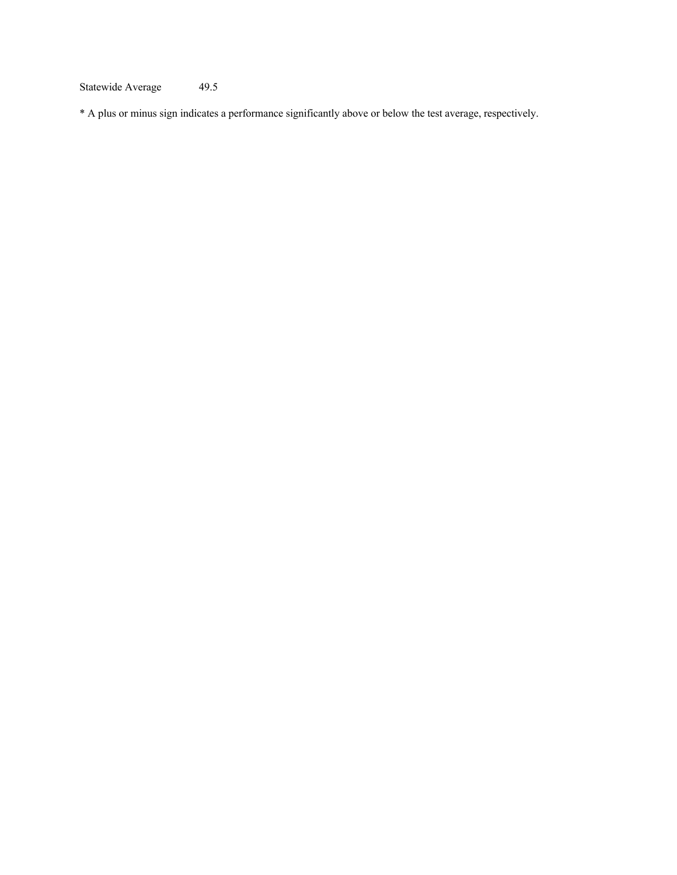Statewide Average 49.5

\* A plus or minus sign indicates a performance significantly above or below the test average, respectively.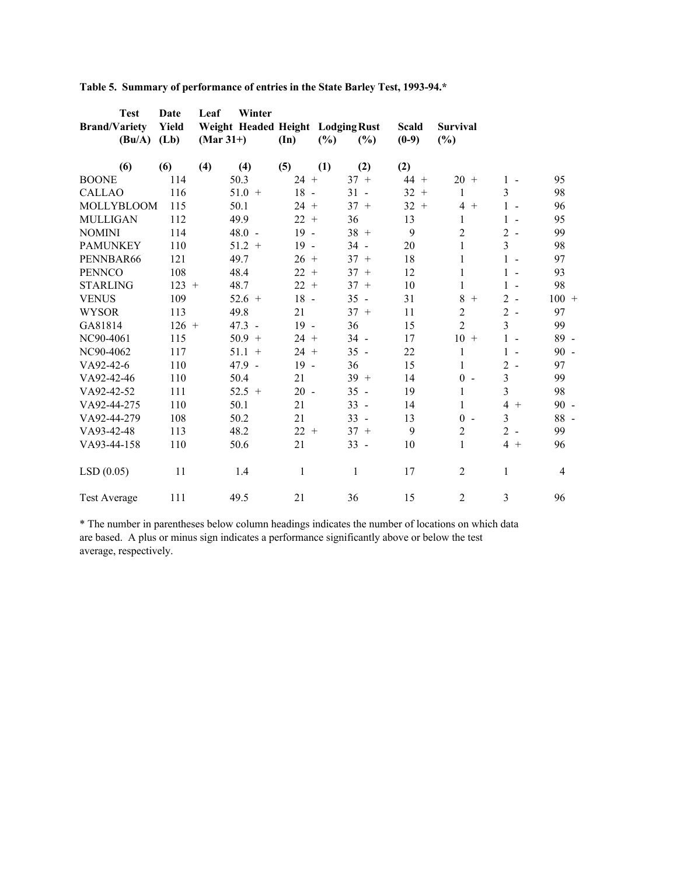| <b>Test</b><br><b>Brand/Variety</b><br>(Bu/A) | Date<br>Yield<br>(Lb) | Leaf<br>$(Mar 31+)$ | Winter<br>Weight Headed Height Lodging Rust | $(\mathbf{In})$ | (%) | $(\%)$       | <b>Scald</b><br>$(0-9)$ | <b>Survival</b><br>$(\%)$  |                         |                |
|-----------------------------------------------|-----------------------|---------------------|---------------------------------------------|-----------------|-----|--------------|-------------------------|----------------------------|-------------------------|----------------|
| (6)                                           | (6)                   | (4)                 | (4)                                         | (5)             | (1) | (2)          | (2)                     |                            |                         |                |
| <b>BOONE</b>                                  | 114                   |                     | 50.3                                        | $24 +$          |     | $37 +$       | $44 +$                  | $20 +$                     | $1 -$                   | 95             |
| <b>CALLAO</b>                                 | 116                   |                     | $51.0 +$                                    | 18<br>$\sim$    |     | $31 -$       | $32 +$                  | 1                          | $\overline{\mathbf{3}}$ | 98             |
| <b>MOLLYBLOOM</b>                             | 115                   |                     | 50.1                                        | $24 +$          |     | $37 +$       | $32 +$                  | $4+$                       | $1 -$                   | 96             |
| <b>MULLIGAN</b>                               | 112                   |                     | 49.9                                        | $22 +$          |     | 36           | 13                      | $\mathbf{1}$               | $1 -$                   | 95             |
| <b>NOMINI</b>                                 | 114                   |                     | $48.0 -$                                    | $19 -$          |     | $38 +$       | 9                       | $\overline{2}$             | $2 -$                   | 99             |
| <b>PAMUNKEY</b>                               | 110                   |                     | $51.2 +$                                    | 19<br>$\sim$    |     | $34 -$       | 20                      | $\mathbf{1}$               | $\overline{\mathbf{3}}$ | 98             |
| PENNBAR66                                     | 121                   |                     | 49.7                                        | $26 +$          |     | 37<br>$+$    | 18                      | 1                          | $1 -$                   | 97             |
| <b>PENNCO</b>                                 | 108                   |                     | 48.4                                        | 22<br>$+$       |     | 37<br>$^{+}$ | 12                      | $\mathbf{1}$               | $1 -$                   | 93             |
| <b>STARLING</b>                               | $123 +$               |                     | 48.7                                        | $22 +$          |     | $37 +$       | 10                      | 1                          | $1 -$                   | 98             |
| <b>VENUS</b>                                  | 109                   |                     | $52.6 +$                                    | $18 -$          |     | $35 -$       | 31                      | 8<br>$\boldsymbol{+}$      | $2 -$                   | $100 +$        |
| <b>WYSOR</b>                                  | 113                   |                     | 49.8                                        | 21              |     | $37 +$       | 11                      | $\overline{2}$             | $2 -$                   | 97             |
| GA81814                                       | $126 +$               |                     | $47.3 -$                                    | 19<br>$\sim$    |     | 36           | 15                      | $\overline{2}$             | $\overline{\mathbf{3}}$ | 99             |
| NC90-4061                                     | 115                   |                     | $50.9 +$                                    | $24 +$          |     | $34 -$       | 17                      | $10 +$                     | $1 -$                   | 89 -           |
| NC90-4062                                     | 117                   |                     | $51.1 +$                                    | $24 +$          |     | $35 -$       | 22                      | 1                          | $1 -$                   | $90 -$         |
| VA92-42-6                                     | 110                   |                     | $47.9 -$                                    | $19 -$          |     | 36           | 15                      | 1                          | $2 -$                   | 97             |
| VA92-42-46                                    | 110                   |                     | 50.4                                        | 21              |     | $39 +$       | 14                      | $0 -$                      | 3                       | 99             |
| VA92-42-52                                    | 111                   |                     | $52.5 +$                                    | $20 -$          |     | $35 -$       | 19                      | 1                          | $\overline{\mathbf{3}}$ | 98             |
| VA92-44-275                                   | 110                   |                     | 50.1                                        | 21              |     | $33 -$       | 14                      | 1                          | $4+$                    | $90 -$         |
| VA92-44-279                                   | 108                   |                     | 50.2                                        | 21              |     | $33 -$       | 13                      | $\boldsymbol{0}$<br>$\sim$ | 3                       | 88 -           |
| VA93-42-48                                    | 113                   |                     | 48.2                                        | $22 +$          |     | $37 +$       | 9                       | $\overline{2}$             | $2 -$                   | 99             |
| VA93-44-158                                   | 110                   |                     | 50.6                                        | 21              |     | $33 -$       | 10                      | 1                          | $4+$                    | 96             |
| LSD(0.05)                                     | 11                    |                     | 1.4                                         | 1               |     | 1            | 17                      | $\overline{2}$             | 1                       | $\overline{4}$ |
| <b>Test Average</b>                           | 111                   |                     | 49.5                                        | 21              |     | 36           | 15                      | $\overline{2}$             | 3                       | 96             |

**Table 5. Summary of performance of entries in the State Barley Test, 1993-94.\***

\* The number in parentheses below column headings indicates the number of locations on which data are based. A plus or minus sign indicates a performance significantly above or below the test average, respectively.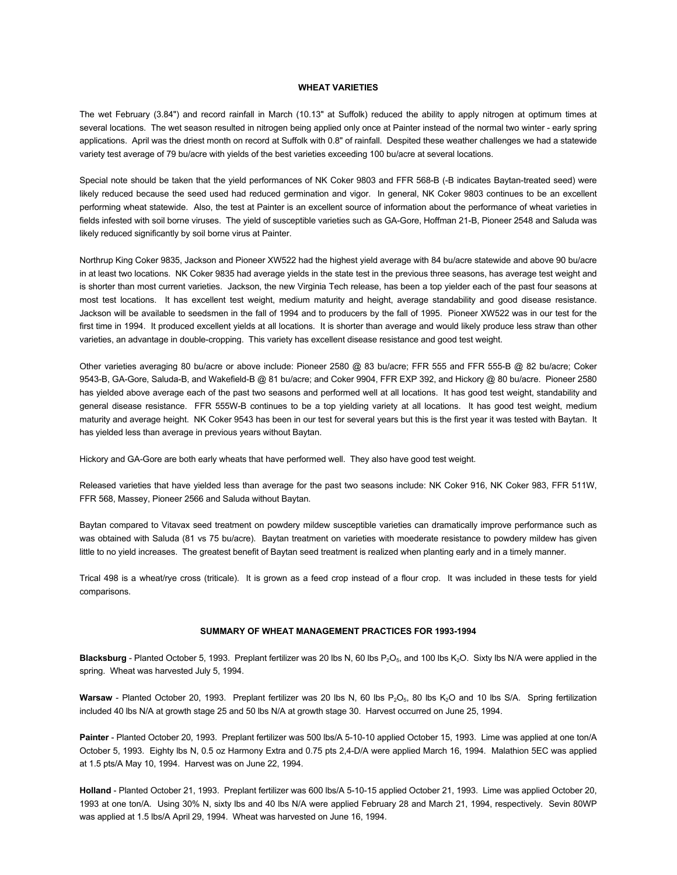#### **WHEAT VARIETIES**

The wet February (3.84") and record rainfall in March (10.13" at Suffolk) reduced the ability to apply nitrogen at optimum times at several locations. The wet season resulted in nitrogen being applied only once at Painter instead of the normal two winter - early spring applications. April was the driest month on record at Suffolk with 0.8" of rainfall. Despited these weather challenges we had a statewide variety test average of 79 bu/acre with yields of the best varieties exceeding 100 bu/acre at several locations.

Special note should be taken that the yield performances of NK Coker 9803 and FFR 568-B (-B indicates Baytan-treated seed) were likely reduced because the seed used had reduced germination and vigor. In general, NK Coker 9803 continues to be an excellent performing wheat statewide. Also, the test at Painter is an excellent source of information about the performance of wheat varieties in fields infested with soil borne viruses. The yield of susceptible varieties such as GA-Gore, Hoffman 21-B, Pioneer 2548 and Saluda was likely reduced significantly by soil borne virus at Painter.

Northrup King Coker 9835, Jackson and Pioneer XW522 had the highest yield average with 84 bu/acre statewide and above 90 bu/acre in at least two locations. NK Coker 9835 had average yields in the state test in the previous three seasons, has average test weight and is shorter than most current varieties. Jackson, the new Virginia Tech release, has been a top yielder each of the past four seasons at most test locations. It has excellent test weight, medium maturity and height, average standability and good disease resistance. Jackson will be available to seedsmen in the fall of 1994 and to producers by the fall of 1995. Pioneer XW522 was in our test for the first time in 1994. It produced excellent yields at all locations. It is shorter than average and would likely produce less straw than other varieties, an advantage in double-cropping. This variety has excellent disease resistance and good test weight.

Other varieties averaging 80 bu/acre or above include: Pioneer 2580 @ 83 bu/acre; FFR 555 and FFR 555-B @ 82 bu/acre; Coker 9543-B, GA-Gore, Saluda-B, and Wakefield-B @ 81 bu/acre; and Coker 9904, FFR EXP 392, and Hickory @ 80 bu/acre. Pioneer 2580 has yielded above average each of the past two seasons and performed well at all locations. It has good test weight, standability and general disease resistance. FFR 555W-B continues to be a top yielding variety at all locations. It has good test weight, medium maturity and average height. NK Coker 9543 has been in our test for several years but this is the first year it was tested with Baytan. It has yielded less than average in previous years without Baytan.

Hickory and GA-Gore are both early wheats that have performed well. They also have good test weight.

Released varieties that have yielded less than average for the past two seasons include: NK Coker 916, NK Coker 983, FFR 511W, FFR 568, Massey, Pioneer 2566 and Saluda without Baytan.

Baytan compared to Vitavax seed treatment on powdery mildew susceptible varieties can dramatically improve performance such as was obtained with Saluda (81 vs 75 bu/acre). Baytan treatment on varieties with moederate resistance to powdery mildew has given little to no yield increases. The greatest benefit of Baytan seed treatment is realized when planting early and in a timely manner.

Trical 498 is a wheat/rye cross (triticale). It is grown as a feed crop instead of a flour crop. It was included in these tests for yield comparisons.

### **SUMMARY OF WHEAT MANAGEMENT PRACTICES FOR 1993-1994**

**Blacksburg** - Planted October 5, 1993. Preplant fertilizer was 20 lbs N, 60 lbs  $P_2O_5$ , and 100 lbs  $K_2O$ . Sixty lbs N/A were applied in the spring. Wheat was harvested July 5, 1994.

Warsaw - Planted October 20, 1993. Preplant fertilizer was 20 lbs N, 60 lbs P<sub>2</sub>O<sub>5</sub>, 80 lbs K<sub>2</sub>O and 10 lbs S/A. Spring fertilization included 40 lbs N/A at growth stage 25 and 50 lbs N/A at growth stage 30. Harvest occurred on June 25, 1994.

**Painter** - Planted October 20, 1993. Preplant fertilizer was 500 lbs/A 5-10-10 applied October 15, 1993. Lime was applied at one ton/A October 5, 1993. Eighty lbs N, 0.5 oz Harmony Extra and 0.75 pts 2,4-D/A were applied March 16, 1994. Malathion 5EC was applied at 1.5 pts/A May 10, 1994. Harvest was on June 22, 1994.

**Holland** - Planted October 21, 1993. Preplant fertilizer was 600 lbs/A 5-10-15 applied October 21, 1993. Lime was applied October 20, 1993 at one ton/A. Using 30% N, sixty lbs and 40 lbs N/A were applied February 28 and March 21, 1994, respectively. Sevin 80WP was applied at 1.5 lbs/A April 29, 1994. Wheat was harvested on June 16, 1994.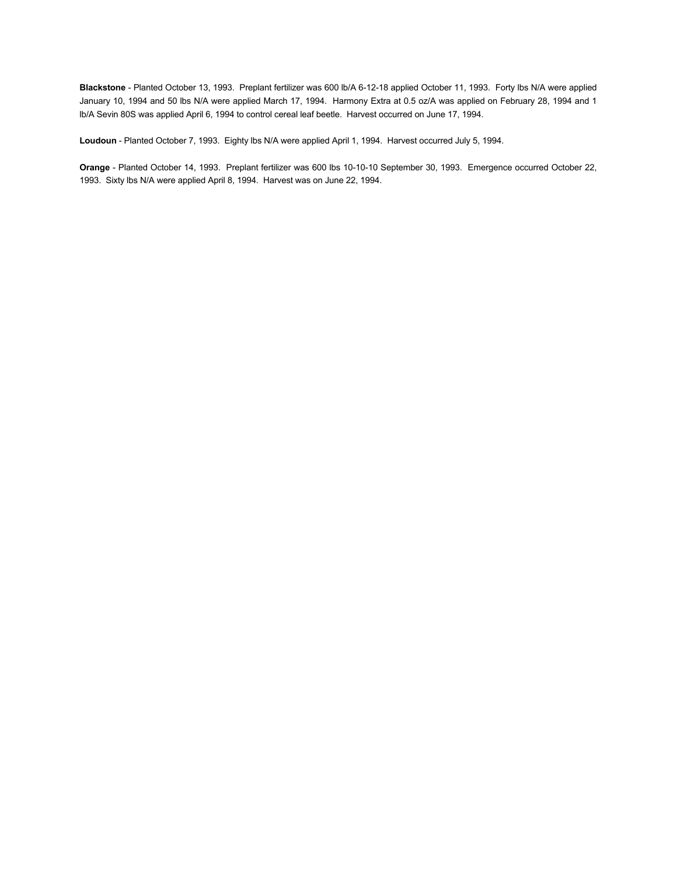**Blackstone** - Planted October 13, 1993. Preplant fertilizer was 600 lb/A 6-12-18 applied October 11, 1993. Forty lbs N/A were applied January 10, 1994 and 50 lbs N/A were applied March 17, 1994. Harmony Extra at 0.5 oz/A was applied on February 28, 1994 and 1 lb/A Sevin 80S was applied April 6, 1994 to control cereal leaf beetle. Harvest occurred on June 17, 1994.

**Loudoun** - Planted October 7, 1993. Eighty lbs N/A were applied April 1, 1994. Harvest occurred July 5, 1994.

**Orange** - Planted October 14, 1993. Preplant fertilizer was 600 lbs 10-10-10 September 30, 1993. Emergence occurred October 22, 1993. Sixty lbs N/A were applied April 8, 1994. Harvest was on June 22, 1994.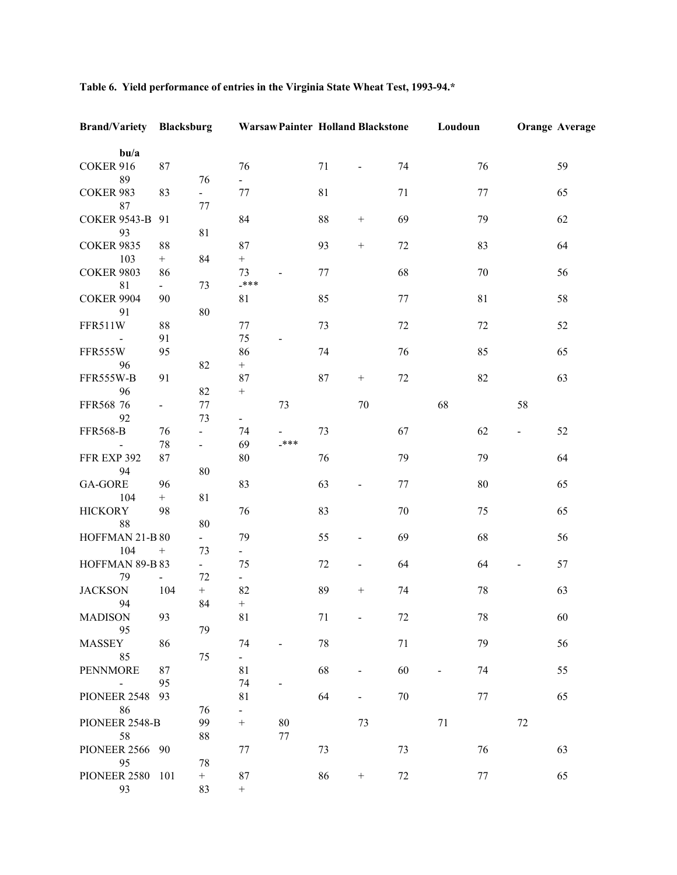| <b>Brand/Variety</b>           | <b>Blacksburg</b>        |                         |                                | <b>Warsaw Painter Holland Blackstone</b> |    |                          |        | Loudoun                  |         |                          | <b>Orange Average</b> |
|--------------------------------|--------------------------|-------------------------|--------------------------------|------------------------------------------|----|--------------------------|--------|--------------------------|---------|--------------------------|-----------------------|
| b <sub>u/a</sub>               |                          |                         |                                |                                          |    |                          |        |                          |         |                          |                       |
| COKER 916<br>89                | 87                       | 76                      | 76<br>$\overline{\phantom{0}}$ |                                          | 71 |                          | 74     |                          | 76      |                          | 59                    |
| COKER 983<br>87                | 83                       | ÷.<br>77                | 77                             |                                          | 81 |                          | 71     |                          | 77      |                          | 65                    |
| <b>COKER 9543-B</b>            | 91                       |                         | 84                             |                                          | 88 |                          | 69     |                          | 79      |                          | 62                    |
| 93<br><b>COKER 9835</b>        | 88                       | 81                      | 87                             |                                          | 93 |                          | 72     |                          | 83      |                          | 64                    |
| 103<br><b>COKER 9803</b>       | $\qquad \qquad +$<br>86  | 84                      | $^{+}$<br>73                   | $\blacksquare$                           | 77 |                          | 68     |                          | 70      |                          | 56                    |
| 81                             | $\blacksquare$           | 73                      | $***$                          |                                          |    |                          |        |                          |         |                          |                       |
| <b>COKER 9904</b><br>91        | 90                       | 80                      | 81                             |                                          | 85 |                          | 77     |                          | 81      |                          | 58                    |
| FFR511W                        | 88<br>91                 |                         | $77 \,$<br>75                  |                                          | 73 |                          | 72     |                          | 72      |                          | 52                    |
| FFR555W                        | 95                       |                         | 86                             |                                          | 74 |                          | 76     |                          | 85      |                          | 65                    |
| 96<br>FFR555W-B                | 91                       | 82                      | $^{+}$<br>87                   |                                          | 87 |                          | $72\,$ |                          | 82      |                          | 63                    |
| 96<br>FFR568 76                | $\overline{\phantom{0}}$ | 82<br>77                | $\qquad \qquad +$              | 73                                       |    | $70\,$                   |        | 68                       |         | 58                       |                       |
| 92<br><b>FFR568-B</b>          | 76                       | 73<br>÷.                | $\blacksquare$<br>74           | $\blacksquare$                           | 73 |                          | 67     |                          | 62      | $\overline{\phantom{0}}$ | 52                    |
|                                | 78                       | ÷.                      | 69                             | ***                                      |    |                          |        |                          |         |                          |                       |
| FFR EXP 392<br>94              | 87                       | 80                      | 80                             |                                          | 76 |                          | 79     |                          | 79      |                          | 64                    |
| GA-GORE<br>104                 | 96<br>$\qquad \qquad +$  | 81                      | 83                             |                                          | 63 |                          | 77     |                          | 80      |                          | 65                    |
| <b>HICKORY</b>                 | 98                       |                         | 76                             |                                          | 83 |                          | 70     |                          | 75      |                          | 65                    |
| 88<br>HOFFMAN 21-B 80          |                          | 80<br>$\blacksquare$    | 79                             |                                          | 55 |                          | 69     |                          | 68      |                          | 56                    |
| 104<br>HOFFMAN 89-B83          | $\boldsymbol{+}$         | 73<br>$\blacksquare$    | $\blacksquare$<br>75           |                                          | 72 |                          | 64     |                          | 64      |                          | 57                    |
| 79                             |                          | 72                      | $\blacksquare$                 |                                          |    |                          |        |                          |         |                          |                       |
| <b>JACKSON</b><br>94           | 104                      | $\qquad \qquad +$<br>84 | 82<br>$\qquad \qquad +$        |                                          | 89 | $^{+}$                   | 74     |                          | 78      |                          | 63                    |
| <b>MADISON</b><br>95           | 93                       | 79                      | $8\sqrt{1}$                    |                                          | 71 | -                        | 72     |                          | $78\,$  |                          | 60                    |
| <b>MASSEY</b><br>85            | 86                       | 75                      | 74<br>$\overline{\phantom{0}}$ | $\blacksquare$                           | 78 |                          | 71     |                          | 79      |                          | 56                    |
| <b>PENNMORE</b>                | 87                       |                         | 81                             |                                          | 68 | $\overline{\phantom{a}}$ | 60     | $\overline{\phantom{a}}$ | 74      |                          | 55                    |
| $\blacksquare$<br>PIONEER 2548 | 95<br>93                 |                         | 74<br>81                       | $\qquad \qquad \blacksquare$             | 64 | $\blacksquare$           | $70\,$ |                          | $77 \,$ |                          | 65                    |
| 86<br>PIONEER 2548-B           |                          | 76                      | -                              |                                          |    |                          |        |                          |         |                          |                       |
| 58                             |                          | 99<br>88                | $^+$                           | $80\,$<br>$77 \,$                        |    | 73                       |        | 71                       |         | 72                       |                       |
| PIONEER 2566<br>95             | 90                       | 78                      | 77                             |                                          | 73 |                          | 73     |                          | 76      |                          | 63                    |
| PIONEER 2580<br>93             | 101                      | $^+$<br>83              | 87<br>$^{+}$                   |                                          | 86 | $^+$                     | 72     |                          | $77 \,$ |                          | 65                    |

# **Table 6. Yield performance of entries in the Virginia State Wheat Test, 1993-94.\***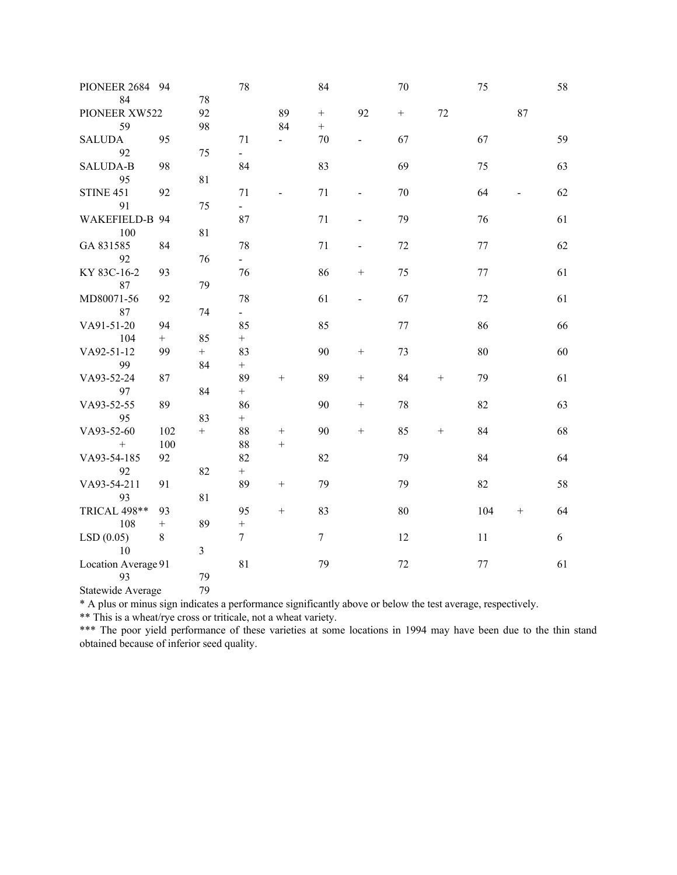| PIONEER 2684<br>84               | 94  | 78             | 78                       |                   | 84     |                              | 70     |                 | 75  |                          | 58 |
|----------------------------------|-----|----------------|--------------------------|-------------------|--------|------------------------------|--------|-----------------|-----|--------------------------|----|
| PIONEER XW522                    |     | 92             |                          | 89                | $^+$   | 92                           | $^{+}$ | 72              |     | 87                       |    |
| 59                               |     | 98             |                          | 84                | $^{+}$ |                              |        |                 |     |                          |    |
| <b>SALUDA</b>                    | 95  |                | 71                       | $\sim$            | 70     | $\blacksquare$               | 67     |                 | 67  |                          | 59 |
| 92                               |     | 75             | $\overline{\phantom{0}}$ |                   |        |                              |        |                 |     |                          |    |
| <b>SALUDA-B</b>                  | 98  |                | 84                       |                   | 83     |                              | 69     |                 | 75  |                          | 63 |
| 95                               |     | 81             |                          |                   |        |                              |        |                 |     |                          |    |
| <b>STINE 451</b>                 | 92  |                | 71                       | $\blacksquare$    | 71     | $\qquad \qquad \blacksquare$ | 70     |                 | 64  | $\overline{\phantom{a}}$ | 62 |
| 91                               |     | 75             |                          |                   |        |                              |        |                 |     |                          |    |
| WAKEFIELD-B 94                   |     |                | 87                       |                   | 71     |                              | 79     |                 | 76  |                          | 61 |
| 100                              |     | 81             |                          |                   |        |                              |        |                 |     |                          |    |
| GA 831585                        | 84  |                | 78                       |                   | 71     | $\blacksquare$               | 72     |                 | 77  |                          | 62 |
| 92                               |     | 76             |                          |                   |        |                              |        |                 |     |                          |    |
| KY 83C-16-2                      | 93  |                | 76                       |                   | 86     |                              | 75     |                 | 77  |                          | 61 |
| 87                               |     | 79             |                          |                   |        |                              |        |                 |     |                          |    |
| MD80071-56                       | 92  |                | 78                       |                   | 61     | $\blacksquare$               | 67     |                 | 72  |                          | 61 |
| 87                               |     | 74             | ÷.                       |                   |        |                              |        |                 |     |                          |    |
| VA91-51-20                       | 94  |                | 85                       |                   | 85     |                              | 77     |                 | 86  |                          | 66 |
| 104                              | $+$ | 85             | $^{+}$                   |                   |        |                              |        |                 |     |                          |    |
| VA92-51-12                       | 99  | $+$            | 83                       |                   | 90     |                              | 73     |                 | 80  |                          | 60 |
| 99                               |     | 84             | $+$                      |                   |        |                              |        |                 |     |                          |    |
| VA93-52-24                       | 87  |                | 89                       | $^{+}$            | 89     | $^{+}$                       | 84     | $\! + \!\!\!\!$ | 79  |                          | 61 |
| 97                               |     | 84             | $+$                      |                   |        |                              |        |                 |     |                          |    |
| VA93-52-55                       | 89  |                | 86                       |                   | 90     | $\! + \!\!\!\!$              | 78     |                 | 82  |                          | 63 |
| 95                               |     | 83             | $+$                      |                   |        |                              |        |                 |     |                          |    |
| VA93-52-60                       | 102 | $^{+}$         | 88                       | $+$               | 90     |                              | 85     | $^{+}$          | 84  |                          | 68 |
| $\begin{array}{c} + \end{array}$ | 100 |                | 88                       | $^{+}$            |        |                              |        |                 |     |                          |    |
| VA93-54-185                      | 92  |                | 82                       |                   | 82     |                              | 79     |                 | 84  |                          | 64 |
| 92                               |     | 82             | $+$                      |                   |        |                              |        |                 |     |                          |    |
| VA93-54-211                      | 91  |                | 89                       | $^{+}$            | 79     |                              | 79     |                 | 82  |                          | 58 |
| 93                               |     | 81             |                          |                   |        |                              |        |                 |     |                          |    |
| <b>TRICAL 498**</b>              | 93  |                | 95                       | $\qquad \qquad +$ | 83     |                              | 80     |                 | 104 | $^{+}$                   | 64 |
| 108                              | $+$ | 89             | $^{+}$                   |                   |        |                              |        |                 |     |                          |    |
| LSD(0.05)                        | 8   |                | $\tau$                   |                   | 7      |                              | 12     |                 | 11  |                          | 6  |
| 10                               |     | $\overline{3}$ |                          |                   |        |                              |        |                 |     |                          |    |
| Location Average 91              |     |                | 81                       |                   | 79     |                              | 72     |                 | 77  |                          | 61 |
| 93                               |     | 79             |                          |                   |        |                              |        |                 |     |                          |    |

Statewide Average 79

\* A plus or minus sign indicates a performance significantly above or below the test average, respectively.

\*\* This is a wheat/rye cross or triticale, not a wheat variety.

\*\*\* The poor yield performance of these varieties at some locations in 1994 may have been due to the thin stand obtained because of inferior seed quality.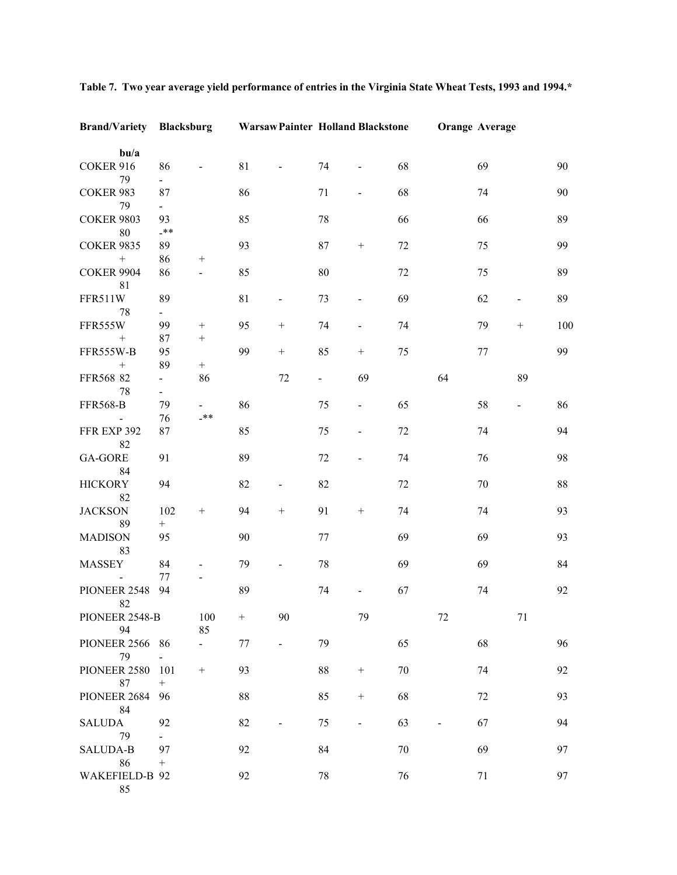| <b>Brand/Variety Blacksburg</b> |                          |                                | <b>Warsaw Painter Holland Blackstone</b> |                              |                |                              |    |    | <b>Orange Average</b> |                |     |
|---------------------------------|--------------------------|--------------------------------|------------------------------------------|------------------------------|----------------|------------------------------|----|----|-----------------------|----------------|-----|
| b <sub>u/a</sub>                |                          |                                |                                          |                              |                |                              |    |    |                       |                |     |
| COKER 916<br>79                 | 86<br>a.                 | $\blacksquare$                 | 81                                       | $\blacksquare$               | 74             | $\frac{1}{2}$                | 68 |    | 69                    |                | 90  |
| COKER 983<br>79                 | 87<br>$\mathbf{r}$       |                                | 86                                       |                              | 71             | $\qquad \qquad \blacksquare$ | 68 |    | 74                    |                | 90  |
| <b>COKER 9803</b><br>80         | 93<br>$***$              |                                | 85                                       |                              | 78             |                              | 66 |    | 66                    |                | 89  |
| <b>COKER 9835</b>               | 89                       |                                | 93                                       |                              | 87             |                              | 72 |    | 75                    |                | 99  |
| <b>COKER 9904</b>               | 86<br>86                 | $\blacksquare$                 | 85                                       |                              | 80             |                              | 72 |    | 75                    |                | 89  |
| 81<br>FFR511W                   | 89                       |                                | 81                                       | $\qquad \qquad \blacksquare$ | 73             | $\qquad \qquad \blacksquare$ | 69 |    | 62                    | $\blacksquare$ | 89  |
| 78                              |                          |                                |                                          |                              |                |                              |    |    |                       |                |     |
| FFR555W                         | 99                       | $^+$                           | 95                                       |                              | 74             | $\blacksquare$               | 74 |    | 79                    | $+$            | 100 |
| $+$<br>FFR555W-B                | 87<br>95                 |                                | 99                                       |                              | 85             |                              | 75 |    | 77                    |                | 99  |
| $+$                             | 89                       | $^+$                           |                                          |                              |                |                              |    |    |                       |                |     |
| FFR568 82                       | $\blacksquare$           | 86                             |                                          | 72                           | $\blacksquare$ | 69                           |    | 64 |                       | 89             |     |
| 78                              | $\blacksquare$           |                                |                                          |                              |                |                              |    |    |                       |                |     |
| <b>FFR568-B</b>                 | 79                       | $\equiv$ .                     | 86                                       |                              | 75             | $\blacksquare$               | 65 |    | 58                    | $\blacksquare$ | 86  |
|                                 | 76                       | $***$                          |                                          |                              |                |                              |    |    |                       |                |     |
| FFR EXP 392<br>82               | 87                       |                                | 85                                       |                              | 75             | $\qquad \qquad \blacksquare$ | 72 |    | 74                    |                | 94  |
| GA-GORE<br>84                   | 91                       |                                | 89                                       |                              | 72             | $\qquad \qquad \blacksquare$ | 74 |    | 76                    |                | 98  |
| <b>HICKORY</b><br>82            | 94                       |                                | 82                                       | $\qquad \qquad \blacksquare$ | 82             |                              | 72 |    | 70                    |                | 88  |
| <b>JACKSON</b><br>89            | 102<br>$\qquad \qquad +$ |                                | 94                                       |                              | 91             | $^+$                         | 74 |    | 74                    |                | 93  |
| <b>MADISON</b><br>83            | 95                       |                                | 90                                       |                              | 77             |                              | 69 |    | 69                    |                | 93  |
| <b>MASSEY</b>                   | 84                       |                                | 79                                       | $\qquad \qquad \blacksquare$ | 78             |                              | 69 |    | 69                    |                | 84  |
| PIONEER 2548                    | 77<br>94                 |                                | 89                                       |                              | 74             | $\qquad \qquad \blacksquare$ | 67 |    | 74                    |                | 92  |
| 82<br>PIONEER 2548-B            |                          | 100                            |                                          | 90                           |                | 79                           |    | 72 |                       | 71             |     |
| 94<br>PIONEER 2566              | 86                       | 85<br>$\overline{\phantom{0}}$ | 77                                       | $\blacksquare$               | 79             |                              | 65 |    | 68                    |                | 96  |
| 79<br>PIONEER 2580              | ÷.<br>101                |                                | 93                                       |                              | 88             | $^{+}$                       | 70 |    | 74                    |                | 92  |
| 87<br>PIONEER 2684              | $^+$<br>96               |                                | 88                                       |                              | 85             | $^{+}$                       | 68 |    | 72                    |                | 93  |
| 84<br><b>SALUDA</b>             | 92                       |                                | 82                                       |                              | 75             | $\blacksquare$               | 63 |    | 67                    |                | 94  |
| 79                              | $\equiv$                 |                                |                                          |                              |                |                              |    |    |                       |                |     |
| <b>SALUDA-B</b><br>86           | 97<br>$+$                |                                | 92                                       |                              | 84             |                              | 70 |    | 69                    |                | 97  |
| WAKEFIELD-B 92<br>85            |                          |                                | 92                                       |                              | 78             |                              | 76 |    | 71                    |                | 97  |

Table 7. Two year average yield performance of entries in the Virginia State Wheat Tests, 1993 and 1994.\*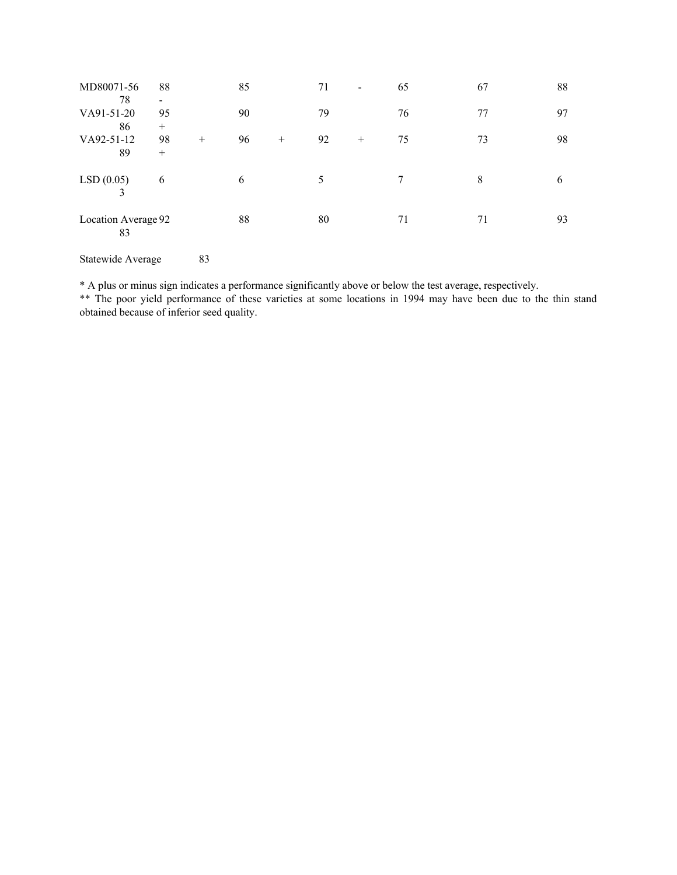| MD80071-56<br>78          | 88                                       |        | 85 |        | 71 | $\overline{\phantom{a}}$ | 65 | 67 | 88 |
|---------------------------|------------------------------------------|--------|----|--------|----|--------------------------|----|----|----|
| VA91-51-20<br>86          | $\overline{\phantom{a}}$<br>95<br>$^{+}$ |        | 90 |        | 79 |                          | 76 | 77 | 97 |
| VA92-51-12<br>89          | 98<br>$^{+}$                             | $^{+}$ | 96 | $^{+}$ | 92 | $^{+}$                   | 75 | 73 | 98 |
| LSD(0.05)<br>3            | 6                                        |        | 6  |        | 5  |                          | 7  | 8  | 6  |
| Location Average 92<br>83 |                                          |        | 88 |        | 80 |                          | 71 | 71 | 93 |

Statewide Average 83

\* A plus or minus sign indicates a performance significantly above or below the test average, respectively.

\*\* The poor yield performance of these varieties at some locations in 1994 may have been due to the thin stand obtained because of inferior seed quality.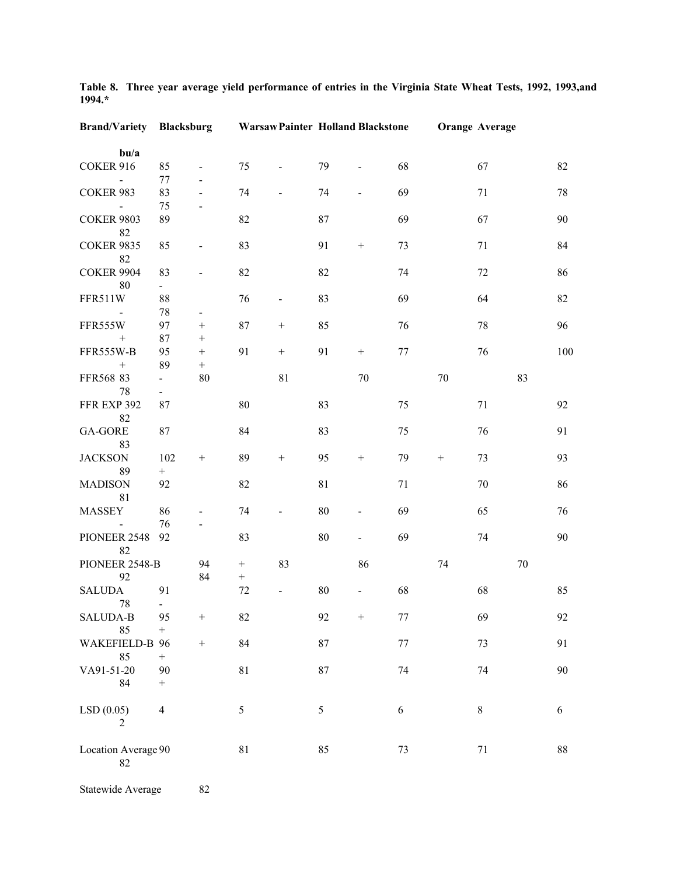| <b>Brand/Variety Blacksburg</b>   |                          |                             |                          | <b>Warsaw Painter Holland Blackstone</b> |            |                          |         |    | <b>Orange Average</b> |    |     |
|-----------------------------------|--------------------------|-----------------------------|--------------------------|------------------------------------------|------------|--------------------------|---------|----|-----------------------|----|-----|
| b <sub>u/a</sub>                  |                          |                             |                          |                                          |            |                          |         |    |                       |    |     |
| <b>COKER 916</b><br>$\frac{1}{2}$ | 85<br>77                 |                             | 75                       |                                          | 79         |                          | 68      |    | 67                    |    | 82  |
| COKER 983<br>$\blacksquare$       | 83<br>75                 | $\blacksquare$              | 74                       | $\overline{\phantom{a}}$                 | 74         | $\overline{\phantom{a}}$ | 69      |    | 71                    |    | 78  |
| <b>COKER 9803</b><br>82           | 89                       |                             | 82                       |                                          | 87         |                          | 69      |    | 67                    |    | 90  |
| <b>COKER 9835</b><br>82           | 85                       | $\blacksquare$              | 83                       |                                          | 91         | $\qquad \qquad +$        | 73      |    | 71                    |    | 84  |
| <b>COKER 9904</b><br>80           | 83<br>÷,                 | $\blacksquare$              | 82                       |                                          | 82         |                          | 74      |    | 72                    |    | 86  |
| FFR511W                           | 88                       |                             | 76                       | $\blacksquare$                           | 83         |                          | 69      |    | 64                    |    | 82  |
| FFR555W                           | 78<br>97                 | $\blacksquare$              | 87                       |                                          | 85         |                          | 76      |    | 78                    |    | 96  |
| FFR555W-B                         | 87<br>95                 |                             | 91                       | $^+$                                     | 91         | $^+$                     | 77      |    | 76                    |    | 100 |
| FFR568 83                         | 89<br>$\omega$           | $\qquad \qquad +$<br>$80\,$ |                          | 81                                       |            | 70                       |         | 70 |                       | 83 |     |
| 78<br>FFR EXP 392<br>82           | $\blacksquare$<br>87     |                             | 80                       |                                          | 83         |                          | 75      |    | 71                    |    | 92  |
| GA-GORE<br>83                     | 87                       |                             | 84                       |                                          | 83         |                          | 75      |    | 76                    |    | 91  |
| <b>JACKSON</b><br>89              | 102<br>$^{+}$            |                             | 89                       | $+$                                      | 95         |                          | 79      |    | 73                    |    | 93  |
| <b>MADISON</b><br>81              | 92                       |                             | 82                       |                                          | 81         |                          | 71      |    | 70                    |    | 86  |
| <b>MASSEY</b>                     | 86<br>76                 |                             | 74                       |                                          | $80\,$     |                          | 69      |    | 65                    |    | 76  |
| PIONEER 2548<br>82                | 92                       |                             | 83                       |                                          | $80\,$     |                          | 69      |    | 74                    |    | 90  |
| PIONEER 2548-B<br>92              |                          | 94<br>84                    | $\boldsymbol{+}$<br>$^+$ | 83                                       |            | 86                       |         | 74 |                       | 70 |     |
| <b>SALUDA</b><br>78               | 91<br>$\blacksquare$     |                             | 72                       | $\blacksquare$                           | $80\,$     | $\overline{\phantom{a}}$ | 68      |    | 68                    |    | 85  |
| SALUDA-B<br>85                    | 95<br>$\! + \!\!\!\!$    | $^{+}$                      | 82                       |                                          | 92         | $^{+}$                   | 77      |    | 69                    |    | 92  |
| WAKEFIELD-B 96<br>85              | $\qquad \qquad +$        | $^+$                        | 84                       |                                          | 87         |                          | $77 \,$ |    | 73                    |    | 91  |
| VA91-51-20<br>84                  | 90<br>$\qquad \qquad +$  |                             | 81                       |                                          | $87\,$     |                          | 74      |    | 74                    |    | 90  |
| LSD(0.05)<br>$\overline{2}$       | $\overline{\mathcal{A}}$ |                             | $\sqrt{5}$               |                                          | $\sqrt{5}$ |                          | 6       |    | 8                     |    | 6   |
| Location Average 90<br>82         |                          |                             | 81                       |                                          | 85         |                          | 73      |    | 71                    |    | 88  |

Table 8. Three year average yield performance of entries in the Virginia State Wheat Tests, 1992, 1993, and **1994.\***

Statewide Average 82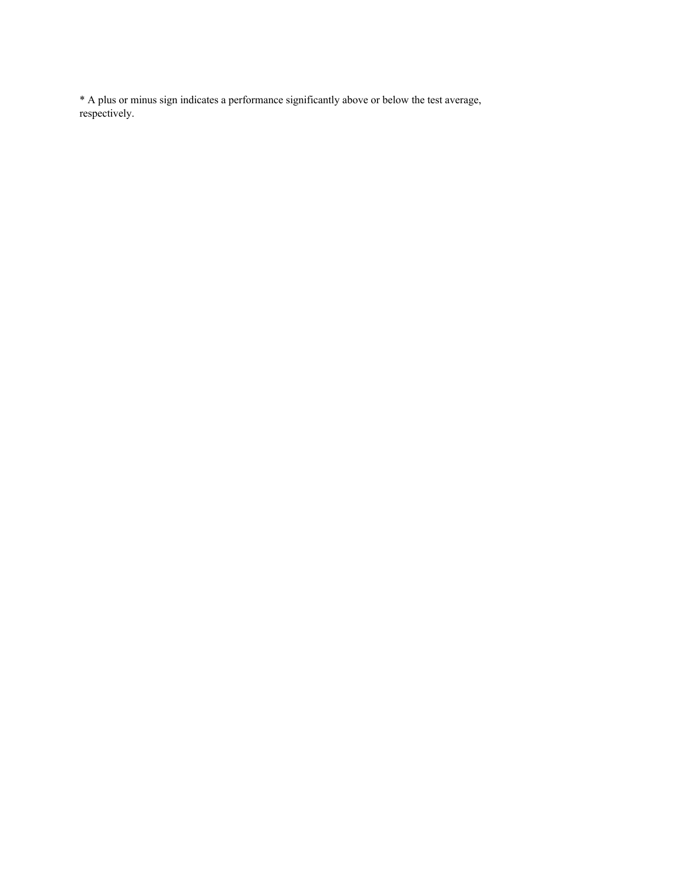\* A plus or minus sign indicates a performance significantly above or below the test average, respectively.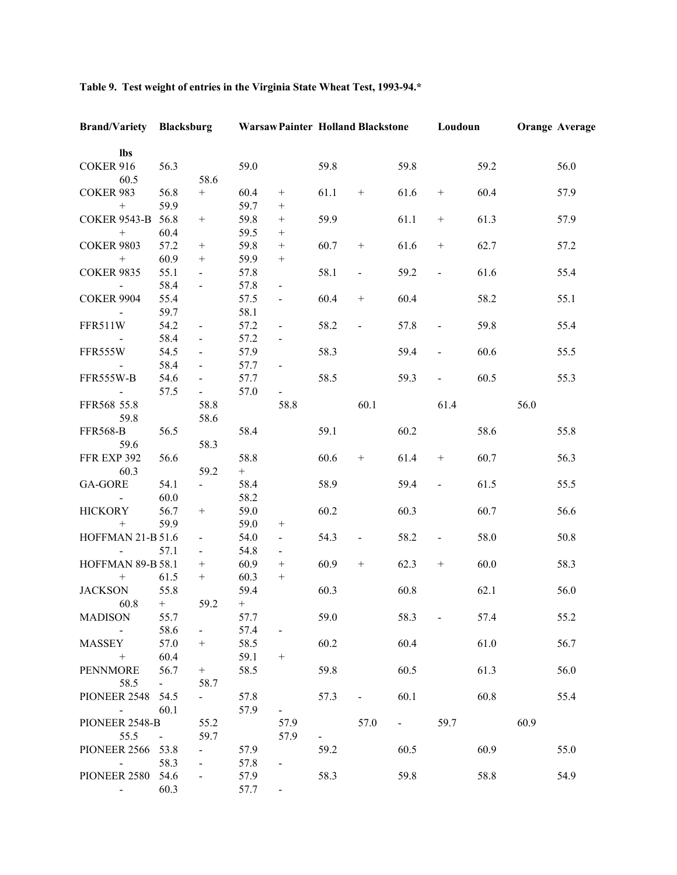| <b>Brand/Variety</b> | <b>Blacksburg</b> |                   |                  |                   |        | <b>Warsaw Painter Holland Blackstone</b> |            | Loudoun        |      |      | <b>Orange Average</b> |
|----------------------|-------------------|-------------------|------------------|-------------------|--------|------------------------------------------|------------|----------------|------|------|-----------------------|
| lbs                  |                   |                   |                  |                   |        |                                          |            |                |      |      |                       |
| COKER 916            | 56.3              |                   | 59.0             |                   | 59.8   |                                          | 59.8       |                | 59.2 |      | 56.0                  |
| 60.5                 |                   | 58.6              |                  |                   |        |                                          |            |                |      |      |                       |
| COKER 983            | 56.8              | $\! + \!$         | 60.4             | $^+$              | 61.1   | $^+$                                     | 61.6       | $^+$           | 60.4 |      | 57.9                  |
| $\boldsymbol{+}$     | 59.9              |                   | 59.7             | $\! + \!$         |        |                                          |            |                |      |      |                       |
| <b>COKER 9543-B</b>  | 56.8              | $\qquad \qquad +$ | 59.8             | $\boldsymbol{+}$  | 59.9   |                                          | 61.1       | $+$            | 61.3 |      | 57.9                  |
| $\! + \!$            | 60.4              |                   | 59.5             | $\! + \!$         |        |                                          |            |                |      |      |                       |
| <b>COKER 9803</b>    | 57.2              |                   | 59.8             | $\boldsymbol{+}$  | 60.7   | $^+$                                     | 61.6       | $^+$           | 62.7 |      | 57.2                  |
| $\! + \!$            | 60.9              | $^{+}$            | 59.9             | $\qquad \qquad +$ |        |                                          |            |                |      |      |                       |
| <b>COKER 9835</b>    | 55.1              | $\blacksquare$    | 57.8             |                   | 58.1   | $\blacksquare$                           | 59.2       | $\blacksquare$ | 61.6 |      | 55.4                  |
| ÷,                   | 58.4              |                   | 57.8             | $\blacksquare$    |        |                                          |            |                |      |      |                       |
| <b>COKER 9904</b>    | 55.4              |                   | 57.5             | $\blacksquare$    | 60.4   | $^+$                                     | 60.4       |                | 58.2 |      | 55.1                  |
|                      | 59.7              |                   | 58.1             |                   |        |                                          |            |                |      |      |                       |
| <b>FFR511W</b>       | 54.2              | $\blacksquare$    | 57.2             | $\blacksquare$    | 58.2   | $\Box$                                   | 57.8       | $\blacksquare$ | 59.8 |      | 55.4                  |
|                      | 58.4              |                   | 57.2             | $\frac{1}{2}$     |        |                                          |            |                |      |      |                       |
| FFR555W              | 54.5              |                   | 57.9             |                   | 58.3   |                                          | 59.4       | $\blacksquare$ | 60.6 |      | 55.5                  |
|                      | 58.4              |                   | 57.7             | $\blacksquare$    |        |                                          |            |                |      |      |                       |
| FFR555W-B            | 54.6              | $\blacksquare$    | 57.7             |                   | 58.5   |                                          | 59.3       |                | 60.5 |      | 55.3                  |
|                      | 57.5              | -                 | 57.0             | $\frac{1}{2}$     |        |                                          |            |                |      |      |                       |
| FFR568 55.8          |                   | 58.8              |                  | 58.8              |        | 60.1                                     |            | 61.4           |      | 56.0 |                       |
| 59.8                 |                   | 58.6              |                  |                   |        |                                          |            |                |      |      |                       |
| <b>FFR568-B</b>      | 56.5              |                   | 58.4             |                   | 59.1   |                                          | 60.2       |                | 58.6 |      | 55.8                  |
| 59.6                 |                   | 58.3              |                  |                   |        |                                          |            |                |      |      |                       |
| FFR EXP 392          | 56.6              |                   | 58.8             |                   | 60.6   | $^+$                                     | 61.4       |                | 60.7 |      | 56.3                  |
| 60.3                 |                   | 59.2              | $\boldsymbol{+}$ |                   |        |                                          |            |                |      |      |                       |
| GA-GORE              | 54.1              | ä,                | 58.4             |                   | 58.9   |                                          | 59.4       | $\blacksquare$ | 61.5 |      | 55.5                  |
|                      | 60.0              |                   | 58.2             |                   |        |                                          |            |                |      |      |                       |
| <b>HICKORY</b>       | 56.7              | $^+$              | 59.0             |                   | 60.2   |                                          | 60.3       |                | 60.7 |      | 56.6                  |
| $+$                  | 59.9              |                   | 59.0             | $^+$              |        |                                          |            |                |      |      |                       |
| HOFFMAN 21-B 51.6    |                   | -                 | 54.0             | $\blacksquare$    | 54.3   | $\blacksquare$                           | 58.2       | $\blacksquare$ | 58.0 |      | 50.8                  |
|                      | 57.1              |                   | 54.8             | $\blacksquare$    |        |                                          |            |                |      |      |                       |
| HOFFMAN 89-B 58.1    |                   | $\! + \!$         | 60.9             | $\boldsymbol{+}$  | 60.9   | $^+$                                     | 62.3       | $^+$           | 60.0 |      | 58.3                  |
|                      | 61.5              | $\! + \!$         | 60.3             | $\boldsymbol{+}$  |        |                                          |            |                |      |      |                       |
| <b>JACKSON</b>       | 55.8              |                   | 59.4             |                   | 60.3   |                                          | 60.8       |                | 62.1 |      | 56.0                  |
| 60.8                 | $\qquad \qquad +$ | 59.2              | $\boldsymbol{+}$ |                   |        |                                          |            |                |      |      |                       |
| <b>MADISON</b>       | 55.7              |                   | 57.7             |                   | 59.0   |                                          | 58.3       |                | 57.4 |      | 55.2                  |
|                      | 58.6              |                   | 57.4             | $\blacksquare$    |        |                                          |            |                |      |      |                       |
| <b>MASSEY</b>        | 57.0              |                   | 58.5             |                   | 60.2   |                                          | 60.4       |                | 61.0 |      | 56.7                  |
| $^+$                 | 60.4              |                   | 59.1             |                   |        |                                          |            |                |      |      |                       |
| <b>PENNMORE</b>      | 56.7              | $\, +$            | 58.5             |                   | 59.8   |                                          | 60.5       |                | 61.3 |      | 56.0                  |
| 58.5                 | $\blacksquare$    | 58.7              |                  |                   |        |                                          |            |                |      |      |                       |
| PIONEER 2548         | 54.5              | ÷.                | 57.8             |                   | 57.3   | $\blacksquare$                           | 60.1       |                | 60.8 |      | 55.4                  |
| $\blacksquare$       | 60.1              |                   | 57.9             | $\blacksquare$    |        |                                          |            |                |      |      |                       |
| PIONEER 2548-B       |                   | 55.2              |                  | 57.9              |        | 57.0                                     | $\sim 100$ | 59.7           |      | 60.9 |                       |
| 55.5                 | $\blacksquare$    | 59.7              |                  | 57.9              | $\sim$ |                                          |            |                |      |      |                       |
| PIONEER 2566         | 53.8              |                   | 57.9             |                   | 59.2   |                                          | 60.5       |                | 60.9 |      | 55.0                  |
|                      | 58.3              |                   | 57.8             | $\blacksquare$    |        |                                          |            |                |      |      |                       |
| PIONEER 2580         | 54.6              |                   | 57.9             |                   | 58.3   |                                          | 59.8       |                | 58.8 |      | 54.9                  |
|                      | 60.3              |                   | 57.7             | $\blacksquare$    |        |                                          |            |                |      |      |                       |

# Table 9. Test weight of entries in the Virginia State Wheat Test, 1993-94.\*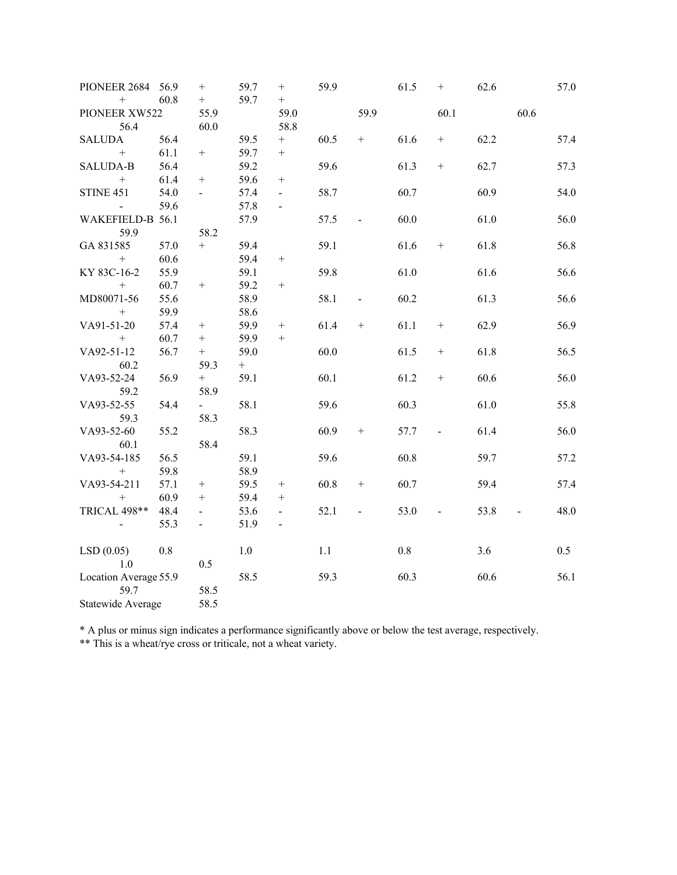| 60.6<br>PIONEER XW522<br>55.9<br>59.9<br>60.1<br>59.0<br>56.4<br>58.8<br>60.0<br><b>SALUDA</b><br>56.4<br>59.5<br>60.5<br>61.6<br>62.2<br>57.4<br>$\qquad \qquad +$<br>$\qquad \qquad +$<br>61.1<br>59.7<br>$\boldsymbol{+}$<br>$\! + \!$<br>59.2<br>62.7<br>57.3<br>56.4<br>59.6<br>61.3<br>$\qquad \qquad +$<br><b>SALUDA-B</b><br>59.6<br>$\boldsymbol{+}$<br>61.4<br>$\boldsymbol{+}$<br>$\! + \!$<br>54.0<br>57.4<br>58.7<br>60.7<br>60.9<br>54.0<br>STINE 451<br>$\blacksquare$<br>$\equiv$<br>59.6<br>57.8<br>$\blacksquare$<br>56.0<br>WAKEFIELD-B 56.1<br>57.9<br>57.5<br>60.0<br>61.0<br>$\blacksquare$<br>59.9<br>58.2<br>57.0<br>59.1<br>61.8<br>56.8<br>GA 831585<br>59.4<br>61.6<br>$^{+}$<br>60.6<br>$^{+}$<br>59.4<br>$\! + \!$<br>KY 83C-16-2<br>55.9<br>59.1<br>59.8<br>61.0<br>61.6<br>56.6<br>59.2<br>$^{+}$<br>60.7<br>$^{+}$<br>$^+$<br>MD80071-56<br>55.6<br>58.9<br>58.1<br>60.2<br>56.6<br>61.3<br>ä,<br>$\qquad \qquad +$<br>59.9<br>58.6<br>61.1<br>57.4<br>59.9<br>61.4<br>62.9<br>56.9<br>$\boldsymbol{+}$<br>$\boldsymbol{+}$<br>59.9<br>60.7<br>$^{+}$<br>$\boldsymbol{+}$<br>59.0<br>60.0<br>61.5<br>61.8<br>56.5<br>VA92-51-12<br>56.7<br>$\boldsymbol{+}$<br>59.3<br>60.2<br>$\boldsymbol{+}$<br>56.9<br>59.1<br>60.1<br>61.2<br>60.6<br>56.0<br>VA93-52-24<br>$^+$<br>58.9<br>59.2<br>VA93-52-55<br>58.1<br>59.6<br>60.3<br>61.0<br>55.8<br>54.4<br>$\blacksquare$<br>59.3<br>58.3<br>VA93-52-60<br>55.2<br>58.3<br>60.9<br>57.7<br>56.0<br>61.4<br>$\Box$<br>60.1<br>58.4<br>56.5<br>59.1<br>60.8<br>VA93-54-185<br>59.6<br>59.7<br>57.2<br>59.8<br>58.9<br>$^{+}$<br>VA93-54-211<br>57.1<br>59.5<br>60.8<br>60.7<br>59.4<br>57.4<br>$\boldsymbol{+}$<br>60.9<br>59.4<br>$^{+}$<br>$+$<br><b>TRICAL 498**</b><br>52.1<br>53.0<br>53.8<br>48.0<br>48.4<br>53.6<br>$\blacksquare$<br>$\blacksquare$<br>$\blacksquare$<br>$\frac{1}{2}$<br>55.3<br>51.9<br>$\blacksquare$<br>$\blacksquare$<br>$\blacksquare$<br>$1.0\,$<br>1.1<br>0.8<br>3.6<br>0.5<br>0.8<br>1.0<br>0.5<br>58.5<br>59.3<br>60.3<br>60.6<br>56.1<br>Location Average 55.9<br>58.5<br>59.7<br>58.5<br>Statewide Average | PIONEER 2684 | 56.9 | $+$    | 59.7 | $\qquad \qquad +$ | 59.9 | 61.5 | $^{+}$ | 62.6 | 57.0 |
|--------------------------------------------------------------------------------------------------------------------------------------------------------------------------------------------------------------------------------------------------------------------------------------------------------------------------------------------------------------------------------------------------------------------------------------------------------------------------------------------------------------------------------------------------------------------------------------------------------------------------------------------------------------------------------------------------------------------------------------------------------------------------------------------------------------------------------------------------------------------------------------------------------------------------------------------------------------------------------------------------------------------------------------------------------------------------------------------------------------------------------------------------------------------------------------------------------------------------------------------------------------------------------------------------------------------------------------------------------------------------------------------------------------------------------------------------------------------------------------------------------------------------------------------------------------------------------------------------------------------------------------------------------------------------------------------------------------------------------------------------------------------------------------------------------------------------------------------------------------------------------------------------------------------------------------------------------------------------------------------------------------------------------------------------------------------------------------------------------------------------|--------------|------|--------|------|-------------------|------|------|--------|------|------|
|                                                                                                                                                                                                                                                                                                                                                                                                                                                                                                                                                                                                                                                                                                                                                                                                                                                                                                                                                                                                                                                                                                                                                                                                                                                                                                                                                                                                                                                                                                                                                                                                                                                                                                                                                                                                                                                                                                                                                                                                                                                                                                                          | $^{+}$       | 60.8 | $^{+}$ | 59.7 | $^{+}$            |      |      |        |      |      |
|                                                                                                                                                                                                                                                                                                                                                                                                                                                                                                                                                                                                                                                                                                                                                                                                                                                                                                                                                                                                                                                                                                                                                                                                                                                                                                                                                                                                                                                                                                                                                                                                                                                                                                                                                                                                                                                                                                                                                                                                                                                                                                                          |              |      |        |      |                   |      |      |        |      |      |
|                                                                                                                                                                                                                                                                                                                                                                                                                                                                                                                                                                                                                                                                                                                                                                                                                                                                                                                                                                                                                                                                                                                                                                                                                                                                                                                                                                                                                                                                                                                                                                                                                                                                                                                                                                                                                                                                                                                                                                                                                                                                                                                          |              |      |        |      |                   |      |      |        |      |      |
|                                                                                                                                                                                                                                                                                                                                                                                                                                                                                                                                                                                                                                                                                                                                                                                                                                                                                                                                                                                                                                                                                                                                                                                                                                                                                                                                                                                                                                                                                                                                                                                                                                                                                                                                                                                                                                                                                                                                                                                                                                                                                                                          |              |      |        |      |                   |      |      |        |      |      |
|                                                                                                                                                                                                                                                                                                                                                                                                                                                                                                                                                                                                                                                                                                                                                                                                                                                                                                                                                                                                                                                                                                                                                                                                                                                                                                                                                                                                                                                                                                                                                                                                                                                                                                                                                                                                                                                                                                                                                                                                                                                                                                                          |              |      |        |      |                   |      |      |        |      |      |
|                                                                                                                                                                                                                                                                                                                                                                                                                                                                                                                                                                                                                                                                                                                                                                                                                                                                                                                                                                                                                                                                                                                                                                                                                                                                                                                                                                                                                                                                                                                                                                                                                                                                                                                                                                                                                                                                                                                                                                                                                                                                                                                          |              |      |        |      |                   |      |      |        |      |      |
|                                                                                                                                                                                                                                                                                                                                                                                                                                                                                                                                                                                                                                                                                                                                                                                                                                                                                                                                                                                                                                                                                                                                                                                                                                                                                                                                                                                                                                                                                                                                                                                                                                                                                                                                                                                                                                                                                                                                                                                                                                                                                                                          |              |      |        |      |                   |      |      |        |      |      |
|                                                                                                                                                                                                                                                                                                                                                                                                                                                                                                                                                                                                                                                                                                                                                                                                                                                                                                                                                                                                                                                                                                                                                                                                                                                                                                                                                                                                                                                                                                                                                                                                                                                                                                                                                                                                                                                                                                                                                                                                                                                                                                                          |              |      |        |      |                   |      |      |        |      |      |
|                                                                                                                                                                                                                                                                                                                                                                                                                                                                                                                                                                                                                                                                                                                                                                                                                                                                                                                                                                                                                                                                                                                                                                                                                                                                                                                                                                                                                                                                                                                                                                                                                                                                                                                                                                                                                                                                                                                                                                                                                                                                                                                          |              |      |        |      |                   |      |      |        |      |      |
|                                                                                                                                                                                                                                                                                                                                                                                                                                                                                                                                                                                                                                                                                                                                                                                                                                                                                                                                                                                                                                                                                                                                                                                                                                                                                                                                                                                                                                                                                                                                                                                                                                                                                                                                                                                                                                                                                                                                                                                                                                                                                                                          |              |      |        |      |                   |      |      |        |      |      |
|                                                                                                                                                                                                                                                                                                                                                                                                                                                                                                                                                                                                                                                                                                                                                                                                                                                                                                                                                                                                                                                                                                                                                                                                                                                                                                                                                                                                                                                                                                                                                                                                                                                                                                                                                                                                                                                                                                                                                                                                                                                                                                                          |              |      |        |      |                   |      |      |        |      |      |
|                                                                                                                                                                                                                                                                                                                                                                                                                                                                                                                                                                                                                                                                                                                                                                                                                                                                                                                                                                                                                                                                                                                                                                                                                                                                                                                                                                                                                                                                                                                                                                                                                                                                                                                                                                                                                                                                                                                                                                                                                                                                                                                          |              |      |        |      |                   |      |      |        |      |      |
|                                                                                                                                                                                                                                                                                                                                                                                                                                                                                                                                                                                                                                                                                                                                                                                                                                                                                                                                                                                                                                                                                                                                                                                                                                                                                                                                                                                                                                                                                                                                                                                                                                                                                                                                                                                                                                                                                                                                                                                                                                                                                                                          |              |      |        |      |                   |      |      |        |      |      |
|                                                                                                                                                                                                                                                                                                                                                                                                                                                                                                                                                                                                                                                                                                                                                                                                                                                                                                                                                                                                                                                                                                                                                                                                                                                                                                                                                                                                                                                                                                                                                                                                                                                                                                                                                                                                                                                                                                                                                                                                                                                                                                                          |              |      |        |      |                   |      |      |        |      |      |
|                                                                                                                                                                                                                                                                                                                                                                                                                                                                                                                                                                                                                                                                                                                                                                                                                                                                                                                                                                                                                                                                                                                                                                                                                                                                                                                                                                                                                                                                                                                                                                                                                                                                                                                                                                                                                                                                                                                                                                                                                                                                                                                          |              |      |        |      |                   |      |      |        |      |      |
|                                                                                                                                                                                                                                                                                                                                                                                                                                                                                                                                                                                                                                                                                                                                                                                                                                                                                                                                                                                                                                                                                                                                                                                                                                                                                                                                                                                                                                                                                                                                                                                                                                                                                                                                                                                                                                                                                                                                                                                                                                                                                                                          |              |      |        |      |                   |      |      |        |      |      |
|                                                                                                                                                                                                                                                                                                                                                                                                                                                                                                                                                                                                                                                                                                                                                                                                                                                                                                                                                                                                                                                                                                                                                                                                                                                                                                                                                                                                                                                                                                                                                                                                                                                                                                                                                                                                                                                                                                                                                                                                                                                                                                                          |              |      |        |      |                   |      |      |        |      |      |
|                                                                                                                                                                                                                                                                                                                                                                                                                                                                                                                                                                                                                                                                                                                                                                                                                                                                                                                                                                                                                                                                                                                                                                                                                                                                                                                                                                                                                                                                                                                                                                                                                                                                                                                                                                                                                                                                                                                                                                                                                                                                                                                          | VA91-51-20   |      |        |      |                   |      |      |        |      |      |
|                                                                                                                                                                                                                                                                                                                                                                                                                                                                                                                                                                                                                                                                                                                                                                                                                                                                                                                                                                                                                                                                                                                                                                                                                                                                                                                                                                                                                                                                                                                                                                                                                                                                                                                                                                                                                                                                                                                                                                                                                                                                                                                          |              |      |        |      |                   |      |      |        |      |      |
|                                                                                                                                                                                                                                                                                                                                                                                                                                                                                                                                                                                                                                                                                                                                                                                                                                                                                                                                                                                                                                                                                                                                                                                                                                                                                                                                                                                                                                                                                                                                                                                                                                                                                                                                                                                                                                                                                                                                                                                                                                                                                                                          |              |      |        |      |                   |      |      |        |      |      |
|                                                                                                                                                                                                                                                                                                                                                                                                                                                                                                                                                                                                                                                                                                                                                                                                                                                                                                                                                                                                                                                                                                                                                                                                                                                                                                                                                                                                                                                                                                                                                                                                                                                                                                                                                                                                                                                                                                                                                                                                                                                                                                                          |              |      |        |      |                   |      |      |        |      |      |
|                                                                                                                                                                                                                                                                                                                                                                                                                                                                                                                                                                                                                                                                                                                                                                                                                                                                                                                                                                                                                                                                                                                                                                                                                                                                                                                                                                                                                                                                                                                                                                                                                                                                                                                                                                                                                                                                                                                                                                                                                                                                                                                          |              |      |        |      |                   |      |      |        |      |      |
|                                                                                                                                                                                                                                                                                                                                                                                                                                                                                                                                                                                                                                                                                                                                                                                                                                                                                                                                                                                                                                                                                                                                                                                                                                                                                                                                                                                                                                                                                                                                                                                                                                                                                                                                                                                                                                                                                                                                                                                                                                                                                                                          |              |      |        |      |                   |      |      |        |      |      |
|                                                                                                                                                                                                                                                                                                                                                                                                                                                                                                                                                                                                                                                                                                                                                                                                                                                                                                                                                                                                                                                                                                                                                                                                                                                                                                                                                                                                                                                                                                                                                                                                                                                                                                                                                                                                                                                                                                                                                                                                                                                                                                                          |              |      |        |      |                   |      |      |        |      |      |
|                                                                                                                                                                                                                                                                                                                                                                                                                                                                                                                                                                                                                                                                                                                                                                                                                                                                                                                                                                                                                                                                                                                                                                                                                                                                                                                                                                                                                                                                                                                                                                                                                                                                                                                                                                                                                                                                                                                                                                                                                                                                                                                          |              |      |        |      |                   |      |      |        |      |      |
|                                                                                                                                                                                                                                                                                                                                                                                                                                                                                                                                                                                                                                                                                                                                                                                                                                                                                                                                                                                                                                                                                                                                                                                                                                                                                                                                                                                                                                                                                                                                                                                                                                                                                                                                                                                                                                                                                                                                                                                                                                                                                                                          |              |      |        |      |                   |      |      |        |      |      |
|                                                                                                                                                                                                                                                                                                                                                                                                                                                                                                                                                                                                                                                                                                                                                                                                                                                                                                                                                                                                                                                                                                                                                                                                                                                                                                                                                                                                                                                                                                                                                                                                                                                                                                                                                                                                                                                                                                                                                                                                                                                                                                                          |              |      |        |      |                   |      |      |        |      |      |
|                                                                                                                                                                                                                                                                                                                                                                                                                                                                                                                                                                                                                                                                                                                                                                                                                                                                                                                                                                                                                                                                                                                                                                                                                                                                                                                                                                                                                                                                                                                                                                                                                                                                                                                                                                                                                                                                                                                                                                                                                                                                                                                          |              |      |        |      |                   |      |      |        |      |      |
|                                                                                                                                                                                                                                                                                                                                                                                                                                                                                                                                                                                                                                                                                                                                                                                                                                                                                                                                                                                                                                                                                                                                                                                                                                                                                                                                                                                                                                                                                                                                                                                                                                                                                                                                                                                                                                                                                                                                                                                                                                                                                                                          |              |      |        |      |                   |      |      |        |      |      |
|                                                                                                                                                                                                                                                                                                                                                                                                                                                                                                                                                                                                                                                                                                                                                                                                                                                                                                                                                                                                                                                                                                                                                                                                                                                                                                                                                                                                                                                                                                                                                                                                                                                                                                                                                                                                                                                                                                                                                                                                                                                                                                                          |              |      |        |      |                   |      |      |        |      |      |
|                                                                                                                                                                                                                                                                                                                                                                                                                                                                                                                                                                                                                                                                                                                                                                                                                                                                                                                                                                                                                                                                                                                                                                                                                                                                                                                                                                                                                                                                                                                                                                                                                                                                                                                                                                                                                                                                                                                                                                                                                                                                                                                          |              |      |        |      |                   |      |      |        |      |      |
|                                                                                                                                                                                                                                                                                                                                                                                                                                                                                                                                                                                                                                                                                                                                                                                                                                                                                                                                                                                                                                                                                                                                                                                                                                                                                                                                                                                                                                                                                                                                                                                                                                                                                                                                                                                                                                                                                                                                                                                                                                                                                                                          |              |      |        |      |                   |      |      |        |      |      |
|                                                                                                                                                                                                                                                                                                                                                                                                                                                                                                                                                                                                                                                                                                                                                                                                                                                                                                                                                                                                                                                                                                                                                                                                                                                                                                                                                                                                                                                                                                                                                                                                                                                                                                                                                                                                                                                                                                                                                                                                                                                                                                                          |              |      |        |      |                   |      |      |        |      |      |
|                                                                                                                                                                                                                                                                                                                                                                                                                                                                                                                                                                                                                                                                                                                                                                                                                                                                                                                                                                                                                                                                                                                                                                                                                                                                                                                                                                                                                                                                                                                                                                                                                                                                                                                                                                                                                                                                                                                                                                                                                                                                                                                          | LSD(0.05)    |      |        |      |                   |      |      |        |      |      |
|                                                                                                                                                                                                                                                                                                                                                                                                                                                                                                                                                                                                                                                                                                                                                                                                                                                                                                                                                                                                                                                                                                                                                                                                                                                                                                                                                                                                                                                                                                                                                                                                                                                                                                                                                                                                                                                                                                                                                                                                                                                                                                                          |              |      |        |      |                   |      |      |        |      |      |
|                                                                                                                                                                                                                                                                                                                                                                                                                                                                                                                                                                                                                                                                                                                                                                                                                                                                                                                                                                                                                                                                                                                                                                                                                                                                                                                                                                                                                                                                                                                                                                                                                                                                                                                                                                                                                                                                                                                                                                                                                                                                                                                          |              |      |        |      |                   |      |      |        |      |      |
|                                                                                                                                                                                                                                                                                                                                                                                                                                                                                                                                                                                                                                                                                                                                                                                                                                                                                                                                                                                                                                                                                                                                                                                                                                                                                                                                                                                                                                                                                                                                                                                                                                                                                                                                                                                                                                                                                                                                                                                                                                                                                                                          |              |      |        |      |                   |      |      |        |      |      |
|                                                                                                                                                                                                                                                                                                                                                                                                                                                                                                                                                                                                                                                                                                                                                                                                                                                                                                                                                                                                                                                                                                                                                                                                                                                                                                                                                                                                                                                                                                                                                                                                                                                                                                                                                                                                                                                                                                                                                                                                                                                                                                                          |              |      |        |      |                   |      |      |        |      |      |

\* A plus or minus sign indicates a performance significantly above or below the test average, respectively.<br>\*\* This is a wheat/rye cross or triticale, not a wheat variety.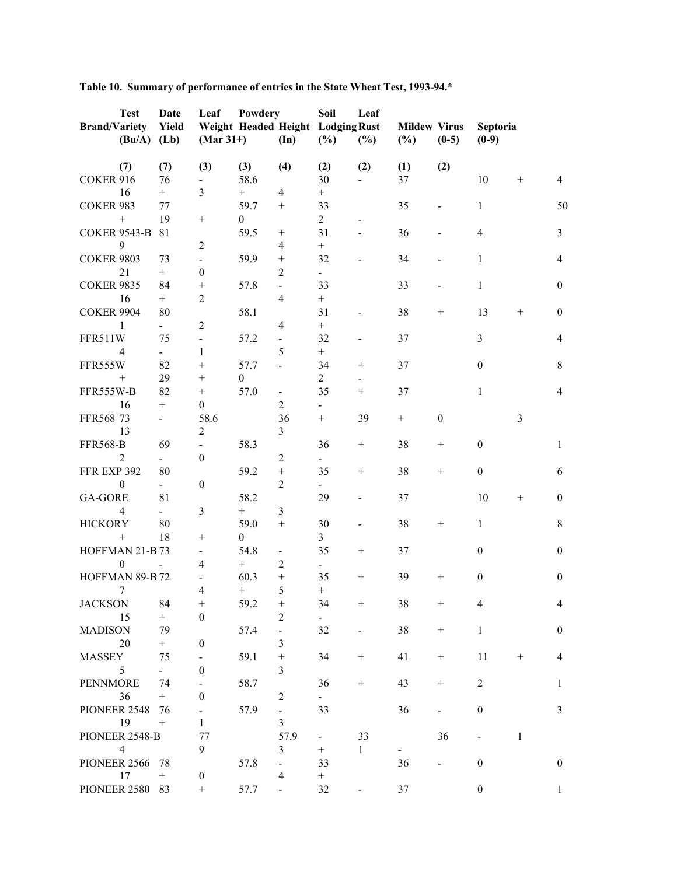| <b>Test</b><br><b>Brand/Variety</b><br>(Bu/A) | <b>Date</b><br><b>Yield</b><br>(Lb) | Leaf<br>$(Mar 31+)$      | Powdery          | Weight Headed Height<br>(In) | Soil<br>(%)            | Leaf<br><b>Lodging Rust</b><br>$(\%)$ | <b>Mildew Virus</b><br>$(\%)$ | $(0-5)$                  | Septoria<br>$(0-9)$ |              |                  |
|-----------------------------------------------|-------------------------------------|--------------------------|------------------|------------------------------|------------------------|---------------------------------------|-------------------------------|--------------------------|---------------------|--------------|------------------|
|                                               |                                     |                          |                  |                              |                        |                                       |                               |                          |                     |              |                  |
| (7)                                           | (7)                                 | (3)                      | (3)              | (4)                          | (2)                    | (2)                                   | (1)                           | (2)                      |                     |              |                  |
| COKER 916<br>16                               | 76<br>$+$                           | $\overline{3}$           | 58.6<br>$^{+}$   | $\overline{4}$               | 30<br>$\boldsymbol{+}$ |                                       | 37                            |                          | 10                  | $^{+}$       | $\overline{4}$   |
| <b>COKER 983</b>                              | 77                                  |                          | 59.7             |                              | 33                     |                                       | 35                            | $\blacksquare$           | 1                   |              | 50               |
| $+$                                           | 19                                  |                          | $\boldsymbol{0}$ |                              | $\boldsymbol{2}$       |                                       |                               |                          |                     |              |                  |
| <b>COKER 9543-B</b>                           | 81                                  |                          | 59.5             | $\qquad \qquad +$            | 31                     |                                       | 36                            |                          | $\overline{4}$      |              | 3                |
| 9                                             |                                     | $\overline{2}$           |                  | 4                            | $\boldsymbol{+}$       |                                       |                               |                          |                     |              |                  |
| <b>COKER 9803</b>                             | 73                                  |                          | 59.9             |                              | 32                     |                                       | 34                            |                          | 1                   |              | 4                |
| 21                                            | $+$                                 | $\boldsymbol{0}$         |                  | $\overline{c}$               |                        |                                       |                               |                          |                     |              |                  |
| <b>COKER 9835</b>                             | 84                                  | $^{+}$                   | 57.8             | $\hat{\mathbf{r}}$           | 33                     |                                       | 33                            | $\blacksquare$           | 1                   |              | $\theta$         |
| 16                                            | $\qquad \qquad +$                   | $\overline{2}$           |                  | 4                            |                        |                                       |                               |                          |                     |              |                  |
| <b>COKER 9904</b>                             | 80                                  |                          | 58.1             |                              | 31                     |                                       | 38                            | $^{+}$                   | 13                  | $^{+}$       | $\theta$         |
| 1                                             | $\blacksquare$                      | $\overline{2}$           |                  | 4                            | $+$                    |                                       |                               |                          |                     |              |                  |
| <b>FFR511W</b>                                | 75                                  |                          | 57.2             |                              | 32                     | $\overline{\phantom{a}}$              | 37                            |                          | 3                   |              | $\overline{4}$   |
| 4                                             |                                     | 1                        |                  | 5                            | $+$                    |                                       |                               |                          |                     |              |                  |
| FFR555W                                       | 82                                  | $^{+}$                   | 57.7             | $\blacksquare$               | 34                     | $^{+}$                                | 37                            |                          | $\boldsymbol{0}$    |              | 8                |
| $+$                                           | 29                                  | $^{+}$                   | $\boldsymbol{0}$ |                              | $\overline{c}$         |                                       |                               |                          |                     |              |                  |
| FFR555W-B                                     | 82<br>$+$                           | $^{+}$                   | 57.0             | $\blacksquare$               | 35                     | $+$                                   | 37                            |                          | $\mathbf{1}$        |              | $\overline{4}$   |
| 16<br>FFR568 73                               |                                     | $\boldsymbol{0}$<br>58.6 |                  | $\overline{2}$<br>36         |                        | 39                                    |                               | $\boldsymbol{0}$         |                     | 3            |                  |
| 13                                            | $\blacksquare$                      | $\overline{c}$           |                  | 3                            |                        |                                       |                               |                          |                     |              |                  |
| <b>FFR568-B</b>                               | 69                                  | $\blacksquare$           | 58.3             |                              | 36                     | $\! + \!\!\!\!$                       | 38                            | $^{+}$                   | $\boldsymbol{0}$    |              | 1                |
| $\overline{2}$                                |                                     | $\boldsymbol{0}$         |                  | $\overline{2}$               |                        |                                       |                               |                          |                     |              |                  |
| FFR EXP 392                                   | 80                                  |                          | 59.2             | $\! + \!$                    | 35                     | $^{+}$                                | 38                            | $^{+}$                   | $\boldsymbol{0}$    |              | 6                |
| $\boldsymbol{0}$                              |                                     | $\boldsymbol{0}$         |                  | $\overline{c}$               |                        |                                       |                               |                          |                     |              |                  |
| <b>GA-GORE</b>                                | 81                                  |                          | 58.2             |                              | 29                     | $\overline{\phantom{a}}$              | 37                            |                          | 10                  | $^{+}$       | $\theta$         |
| $\overline{4}$                                |                                     | 3                        | $^{+}$           | $\mathfrak{Z}$               |                        |                                       |                               |                          |                     |              |                  |
| <b>HICKORY</b>                                | 80                                  |                          | 59.0             | $\boldsymbol{+}$             | 30                     | $\overline{\phantom{a}}$              | 38                            | $^{+}$                   | 1                   |              | 8                |
| $+$                                           | 18                                  | $\! + \!\!\!\!$          | $\boldsymbol{0}$ |                              | 3                      |                                       |                               |                          |                     |              |                  |
| HOFFMAN 21-B73                                |                                     |                          | 54.8             | $\qquad \qquad \blacksquare$ | 35                     | $^{+}$                                | 37                            |                          | $\boldsymbol{0}$    |              | $\mathbf{0}$     |
| $\boldsymbol{0}$                              |                                     | 4                        | $^{+}$           | $\overline{c}$               |                        |                                       |                               |                          |                     |              |                  |
| HOFFMAN 89-B72                                |                                     |                          | 60.3             | $^{+}$                       | 35                     | $^{+}$                                | 39                            | $^{+}$                   | $\boldsymbol{0}$    |              | $\boldsymbol{0}$ |
| 7<br><b>JACKSON</b>                           | 84                                  | 4                        | 59.2             | 5                            | $^{+}$                 |                                       |                               |                          |                     |              |                  |
| 15                                            | $+$                                 | $+$<br>$\boldsymbol{0}$  |                  | $^{+}$<br>$\sqrt{2}$         | 34                     | $^+$                                  | 38                            |                          | 4                   |              | 4                |
| <b>MADISON</b>                                | 79                                  |                          | 57.4             | $\overline{\phantom{a}}$     | 32                     | $\blacksquare$                        | 38                            | $^{+}$                   | $\mathbf{1}$        |              | $\boldsymbol{0}$ |
| 20                                            | $+$                                 | $\boldsymbol{0}$         |                  | $\mathfrak{Z}$               |                        |                                       |                               |                          |                     |              |                  |
| <b>MASSEY</b>                                 | 75                                  |                          | 59.1             | $\qquad \qquad +$            | 34                     | $\! + \!\!\!\!$                       | 41                            | $\! + \!\!\!\!$          | 11                  | $^{+}$       | 4                |
| 5                                             | $\blacksquare$                      | $\boldsymbol{0}$         |                  | $\mathfrak{Z}$               |                        |                                       |                               |                          |                     |              |                  |
| <b>PENNMORE</b>                               | 74                                  |                          | 58.7             |                              | 36                     |                                       | 43                            | $^{+}$                   | $\overline{2}$      |              | 1                |
| 36                                            | $^{+}$                              | $\boldsymbol{0}$         |                  | $\sqrt{2}$                   |                        |                                       |                               |                          |                     |              |                  |
| PIONEER 2548                                  | 76                                  |                          | 57.9             | $\blacksquare$               | 33                     |                                       | 36                            | $\overline{\phantom{0}}$ | $\boldsymbol{0}$    |              | $\overline{3}$   |
| 19                                            | $^+$                                | $\mathbf{1}$             |                  | $\mathfrak{Z}$               |                        |                                       |                               |                          |                     |              |                  |
| PIONEER 2548-B                                |                                     | 77                       |                  | 57.9                         | $\blacksquare$         | 33                                    |                               | 36                       |                     | $\mathbf{1}$ |                  |
| $\overline{4}$                                |                                     | 9                        |                  | 3                            | $^+$                   | 1                                     | $\blacksquare$                |                          |                     |              |                  |
| PIONEER 2566                                  | 78                                  |                          | 57.8             |                              | 33                     |                                       | 36                            | $\blacksquare$           | $\boldsymbol{0}$    |              | $\mathbf{0}$     |
| 17                                            | $\boldsymbol{+}$                    | $\boldsymbol{0}$         |                  | $\overline{4}$               | $+$                    |                                       |                               |                          |                     |              |                  |
| PIONEER 2580                                  | 83                                  | $^{+}$                   | 57.7             |                              | 32                     |                                       | 37                            |                          | $\boldsymbol{0}$    |              | 1                |

**Table 10. Summary of performance of entries in the State Wheat Test, 1993-94.\***